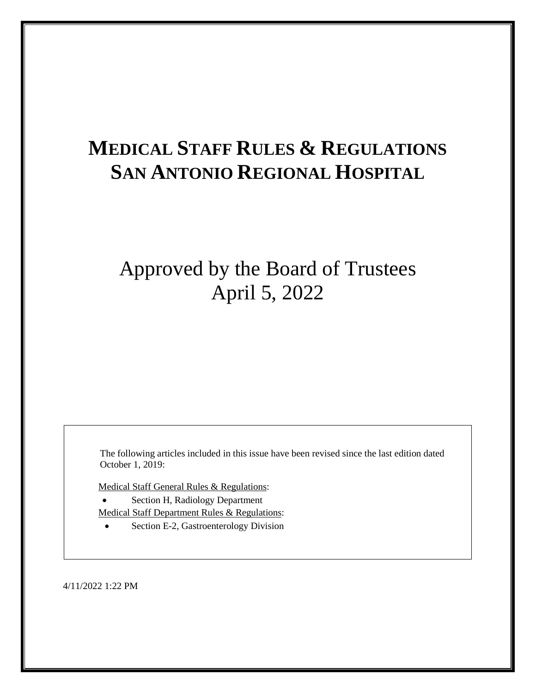# **MEDICAL STAFF RULES & REGULATIONS SAN ANTONIO REGIONAL HOSPITAL**

## Approved by the Board of Trustees April 5, 2022

The following articles included in this issue have been revised since the last edition dated October 1, 2019:

Medical Staff General Rules & Regulations:

- Section H, Radiology Department Medical Staff Department Rules & Regulations:
	- Section E-2, Gastroenterology Division

4/11/2022 1:22 PM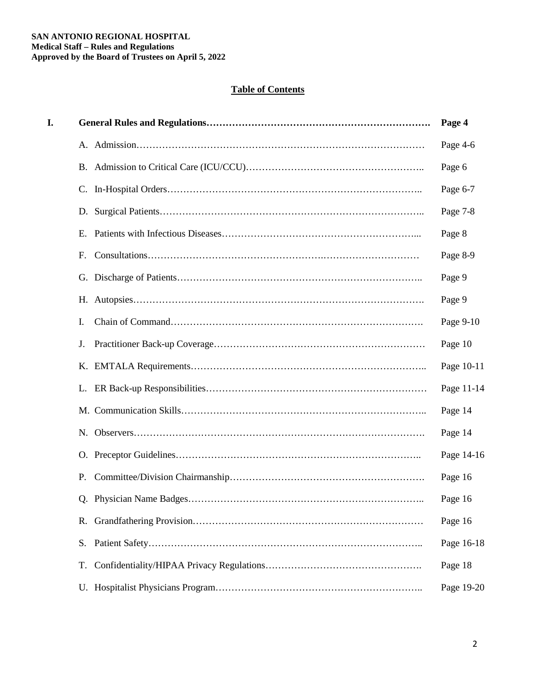## **Table of Contents**

| I. |    | Page 4     |
|----|----|------------|
|    |    | Page 4-6   |
|    |    | Page 6     |
|    |    | Page 6-7   |
|    |    | Page 7-8   |
|    | Ε. | Page 8     |
|    | F. | Page 8-9   |
|    |    | Page 9     |
|    |    | Page 9     |
|    | Ι. | Page 9-10  |
|    | J. | Page 10    |
|    |    | Page 10-11 |
|    | L. | Page 11-14 |
|    |    | Page 14    |
|    |    | Page 14    |
|    |    | Page 14-16 |
|    | Ρ. | Page 16    |
|    |    | Page 16    |
|    |    | Page 16    |
|    | S. | Page 16-18 |
|    | T. | Page 18    |
|    |    | Page 19-20 |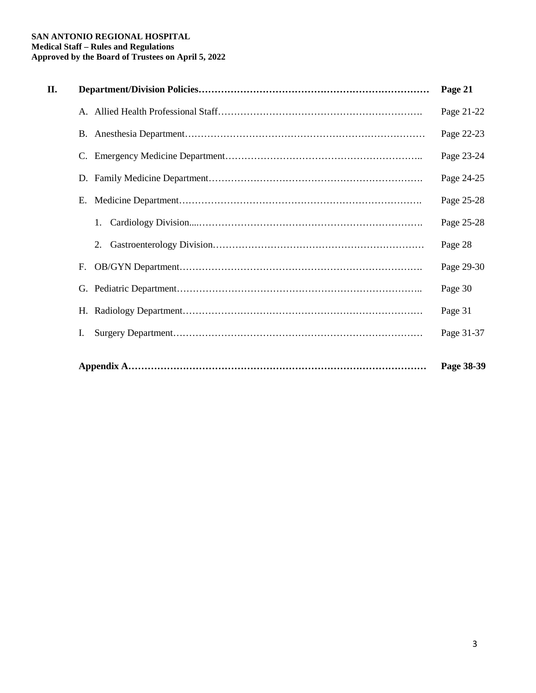#### **SAN ANTONIO REGIONAL HOSPITAL Medical Staff – Rules and Regulations Approved by the Board of Trustees on April 5, 2022**

| П. |    | Page 21    |
|----|----|------------|
|    |    | Page 21-22 |
|    |    | Page 22-23 |
|    |    | Page 23-24 |
|    |    | Page 24-25 |
|    |    | Page 25-28 |
|    | 1. | Page 25-28 |
|    | 2. | Page 28    |
|    | F. | Page 29-30 |
|    |    | Page 30    |
|    |    | Page 31    |
|    | Ι. | Page 31-37 |
|    |    | Page 38-39 |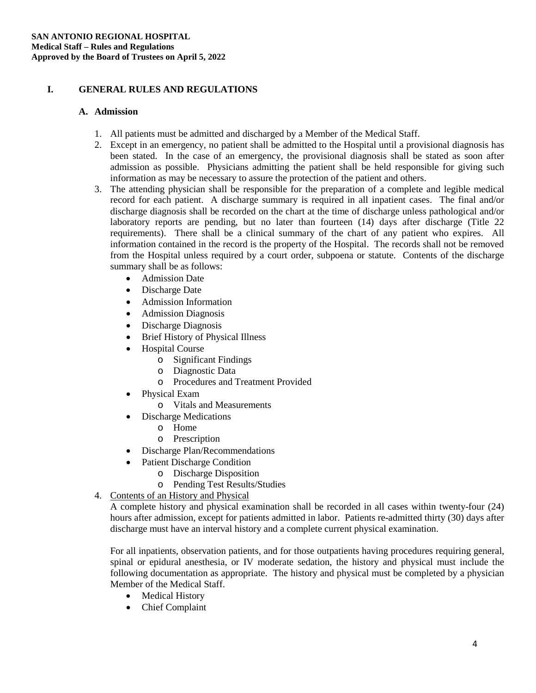## **I. GENERAL RULES AND REGULATIONS**

#### **A. Admission**

- 1. All patients must be admitted and discharged by a Member of the Medical Staff.
- 2. Except in an emergency, no patient shall be admitted to the Hospital until a provisional diagnosis has been stated. In the case of an emergency, the provisional diagnosis shall be stated as soon after admission as possible. Physicians admitting the patient shall be held responsible for giving such information as may be necessary to assure the protection of the patient and others.
- 3. The attending physician shall be responsible for the preparation of a complete and legible medical record for each patient. A discharge summary is required in all inpatient cases. The final and/or discharge diagnosis shall be recorded on the chart at the time of discharge unless pathological and/or laboratory reports are pending, but no later than fourteen (14) days after discharge (Title 22 requirements). There shall be a clinical summary of the chart of any patient who expires. All information contained in the record is the property of the Hospital. The records shall not be removed from the Hospital unless required by a court order, subpoena or statute. Contents of the discharge summary shall be as follows:
	- Admission Date
	- Discharge Date
	- Admission Information
	- Admission Diagnosis
	- Discharge Diagnosis
	- Brief History of Physical Illness
	- **Hospital Course** 
		- o Significant Findings
		- o Diagnostic Data
		- o Procedures and Treatment Provided
	- Physical Exam
		- o Vitals and Measurements
	- Discharge Medications
		- o Home
		- o Prescription
	- Discharge Plan/Recommendations
	- Patient Discharge Condition
		- o Discharge Disposition
		- o Pending Test Results/Studies
- 4. Contents of an History and Physical

A complete history and physical examination shall be recorded in all cases within twenty-four (24) hours after admission, except for patients admitted in labor. Patients re-admitted thirty (30) days after discharge must have an interval history and a complete current physical examination.

For all inpatients, observation patients, and for those outpatients having procedures requiring general, spinal or epidural anesthesia, or IV moderate sedation, the history and physical must include the following documentation as appropriate. The history and physical must be completed by a physician Member of the Medical Staff.

- Medical History
- Chief Complaint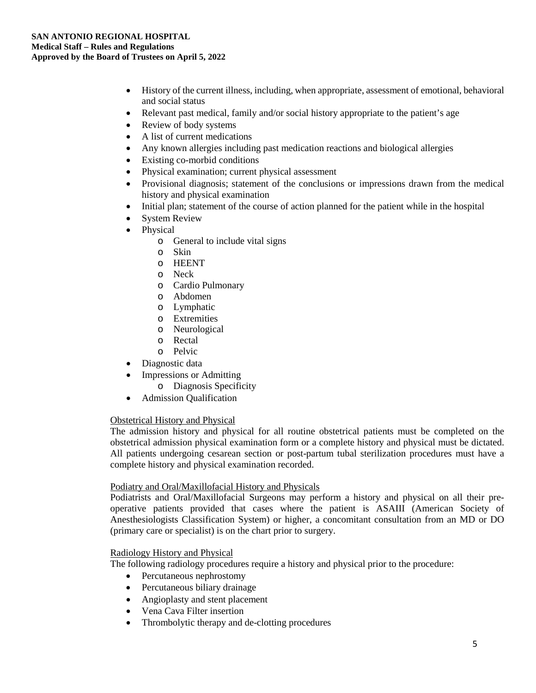- History of the current illness, including, when appropriate, assessment of emotional, behavioral and social status
- Relevant past medical, family and/or social history appropriate to the patient's age
- Review of body systems
- A list of current medications
- Any known allergies including past medication reactions and biological allergies
- Existing co-morbid conditions
- Physical examination; current physical assessment
- Provisional diagnosis; statement of the conclusions or impressions drawn from the medical history and physical examination
- Initial plan; statement of the course of action planned for the patient while in the hospital
- **System Review**
- Physical
	- o General to include vital signs
	- o Skin
	- o HEENT
	- o Neck
	- o Cardio Pulmonary
	- o Abdomen
	- o Lymphatic
	- o Extremities
	- o Neurological
	- o Rectal
	- o Pelvic
- Diagnostic data
- Impressions or Admitting
	- o Diagnosis Specificity
- Admission Qualification

#### Obstetrical History and Physical

The admission history and physical for all routine obstetrical patients must be completed on the obstetrical admission physical examination form or a complete history and physical must be dictated. All patients undergoing cesarean section or post-partum tubal sterilization procedures must have a complete history and physical examination recorded.

#### Podiatry and Oral/Maxillofacial History and Physicals

Podiatrists and Oral/Maxillofacial Surgeons may perform a history and physical on all their preoperative patients provided that cases where the patient is ASAIII (American Society of Anesthesiologists Classification System) or higher, a concomitant consultation from an MD or DO (primary care or specialist) is on the chart prior to surgery.

#### Radiology History and Physical

The following radiology procedures require a history and physical prior to the procedure:

- Percutaneous nephrostomy
- Percutaneous biliary drainage
- Angioplasty and stent placement
- Vena Cava Filter insertion
- Thrombolytic therapy and de-clotting procedures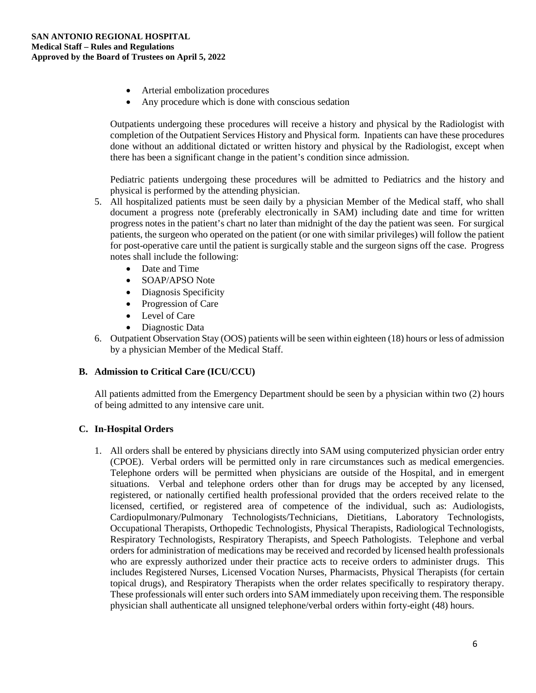- Arterial embolization procedures
- Any procedure which is done with conscious sedation

Outpatients undergoing these procedures will receive a history and physical by the Radiologist with completion of the Outpatient Services History and Physical form. Inpatients can have these procedures done without an additional dictated or written history and physical by the Radiologist, except when there has been a significant change in the patient's condition since admission.

Pediatric patients undergoing these procedures will be admitted to Pediatrics and the history and physical is performed by the attending physician.

- 5. All hospitalized patients must be seen daily by a physician Member of the Medical staff, who shall document a progress note (preferably electronically in SAM) including date and time for written progress notes in the patient's chart no later than midnight of the day the patient was seen. For surgical patients, the surgeon who operated on the patient (or one with similar privileges) will follow the patient for post-operative care until the patient is surgically stable and the surgeon signs off the case. Progress notes shall include the following:
	- Date and Time
	- SOAP/APSO Note
	- Diagnosis Specificity
	- Progression of Care
	- Level of Care
	- Diagnostic Data
- 6. Outpatient Observation Stay (OOS) patients will be seen within eighteen (18) hours or less of admission by a physician Member of the Medical Staff.

#### **B. Admission to Critical Care (ICU/CCU)**

All patients admitted from the Emergency Department should be seen by a physician within two (2) hours of being admitted to any intensive care unit.

## **C. In-Hospital Orders**

1. All orders shall be entered by physicians directly into SAM using computerized physician order entry (CPOE). Verbal orders will be permitted only in rare circumstances such as medical emergencies. Telephone orders will be permitted when physicians are outside of the Hospital, and in emergent situations. Verbal and telephone orders other than for drugs may be accepted by any licensed, registered, or nationally certified health professional provided that the orders received relate to the licensed, certified, or registered area of competence of the individual, such as: Audiologists, Cardiopulmonary/Pulmonary Technologists/Technicians, Dietitians, Laboratory Technologists, Occupational Therapists, Orthopedic Technologists, Physical Therapists, Radiological Technologists, Respiratory Technologists, Respiratory Therapists, and Speech Pathologists. Telephone and verbal orders for administration of medications may be received and recorded by licensed health professionals who are expressly authorized under their practice acts to receive orders to administer drugs. This includes Registered Nurses, Licensed Vocation Nurses, Pharmacists, Physical Therapists (for certain topical drugs), and Respiratory Therapists when the order relates specifically to respiratory therapy. These professionals will enter such orders into SAM immediately upon receiving them. The responsible physician shall authenticate all unsigned telephone/verbal orders within forty-eight (48) hours.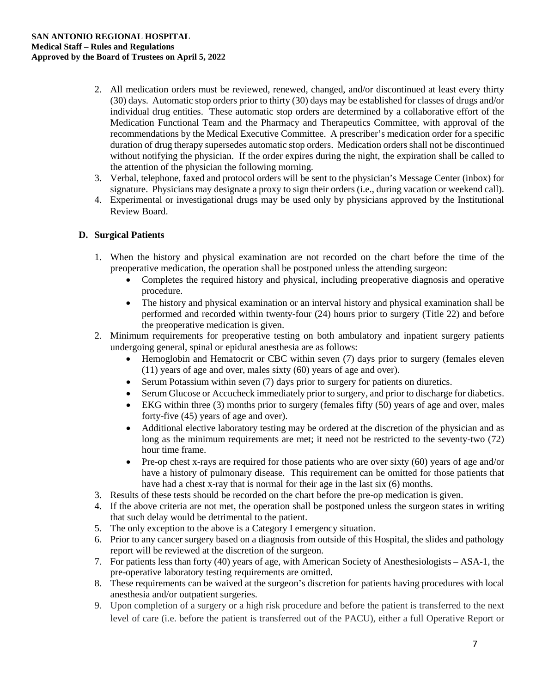- 2. All medication orders must be reviewed, renewed, changed, and/or discontinued at least every thirty (30) days. Automatic stop orders prior to thirty (30) days may be established for classes of drugs and/or individual drug entities. These automatic stop orders are determined by a collaborative effort of the Medication Functional Team and the Pharmacy and Therapeutics Committee, with approval of the recommendations by the Medical Executive Committee. A prescriber's medication order for a specific duration of drug therapy supersedes automatic stop orders. Medication orders shall not be discontinued without notifying the physician. If the order expires during the night, the expiration shall be called to the attention of the physician the following morning.
- 3. Verbal, telephone, faxed and protocol orders will be sent to the physician's Message Center (inbox) for signature. Physicians may designate a proxy to sign their orders (i.e., during vacation or weekend call).
- 4. Experimental or investigational drugs may be used only by physicians approved by the Institutional Review Board.

## **D. Surgical Patients**

- 1. When the history and physical examination are not recorded on the chart before the time of the preoperative medication, the operation shall be postponed unless the attending surgeon:
	- Completes the required history and physical, including preoperative diagnosis and operative procedure.
	- The history and physical examination or an interval history and physical examination shall be performed and recorded within twenty-four (24) hours prior to surgery (Title 22) and before the preoperative medication is given.
- 2. Minimum requirements for preoperative testing on both ambulatory and inpatient surgery patients undergoing general, spinal or epidural anesthesia are as follows:
	- Hemoglobin and Hematocrit or CBC within seven (7) days prior to surgery (females eleven (11) years of age and over, males sixty (60) years of age and over).
	- Serum Potassium within seven (7) days prior to surgery for patients on diuretics.
	- Serum Glucose or Accucheck immediately prior to surgery, and prior to discharge for diabetics.
	- EKG within three (3) months prior to surgery (females fifty (50) years of age and over, males forty-five (45) years of age and over).
	- Additional elective laboratory testing may be ordered at the discretion of the physician and as long as the minimum requirements are met; it need not be restricted to the seventy-two (72) hour time frame.
	- Pre-op chest x-rays are required for those patients who are over sixty (60) years of age and/or have a history of pulmonary disease. This requirement can be omitted for those patients that have had a chest x-ray that is normal for their age in the last six (6) months.
- 3. Results of these tests should be recorded on the chart before the pre-op medication is given.
- 4. If the above criteria are not met, the operation shall be postponed unless the surgeon states in writing that such delay would be detrimental to the patient.
- 5. The only exception to the above is a Category I emergency situation.
- 6. Prior to any cancer surgery based on a diagnosis from outside of this Hospital, the slides and pathology report will be reviewed at the discretion of the surgeon.
- 7. For patients less than forty (40) years of age, with American Society of Anesthesiologists ASA-1, the pre-operative laboratory testing requirements are omitted.
- 8. These requirements can be waived at the surgeon's discretion for patients having procedures with local anesthesia and/or outpatient surgeries.
- 9. Upon completion of a surgery or a high risk procedure and before the patient is transferred to the next level of care (i.e. before the patient is transferred out of the PACU), either a full Operative Report or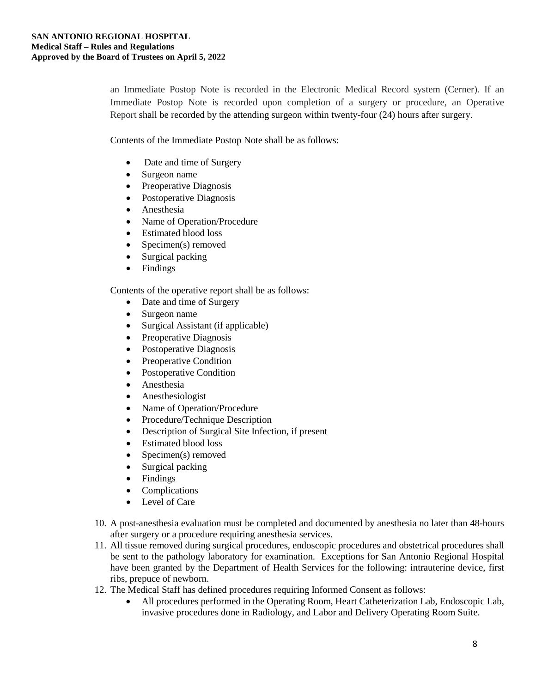an Immediate Postop Note is recorded in the Electronic Medical Record system (Cerner). If an Immediate Postop Note is recorded upon completion of a surgery or procedure, an Operative Report shall be recorded by the attending surgeon within twenty-four (24) hours after surgery.

Contents of the Immediate Postop Note shall be as follows:

- Date and time of Surgery
- Surgeon name
- Preoperative Diagnosis
- Postoperative Diagnosis
- Anesthesia
- Name of Operation/Procedure
- Estimated blood loss
- Specimen(s) removed
- Surgical packing
- Findings

Contents of the operative report shall be as follows:

- Date and time of Surgery
- Surgeon name
- Surgical Assistant (if applicable)
- Preoperative Diagnosis
- Postoperative Diagnosis
- Preoperative Condition
- Postoperative Condition
- Anesthesia
- Anesthesiologist
- Name of Operation/Procedure
- Procedure/Technique Description
- Description of Surgical Site Infection, if present
- Estimated blood loss
- Specimen(s) removed
- Surgical packing
- Findings
- Complications
- Level of Care
- 10. A post-anesthesia evaluation must be completed and documented by anesthesia no later than 48-hours after surgery or a procedure requiring anesthesia services.
- 11. All tissue removed during surgical procedures, endoscopic procedures and obstetrical procedures shall be sent to the pathology laboratory for examination. Exceptions for San Antonio Regional Hospital have been granted by the Department of Health Services for the following: intrauterine device, first ribs, prepuce of newborn.
- 12. The Medical Staff has defined procedures requiring Informed Consent as follows:
	- All procedures performed in the Operating Room, Heart Catheterization Lab, Endoscopic Lab, invasive procedures done in Radiology, and Labor and Delivery Operating Room Suite.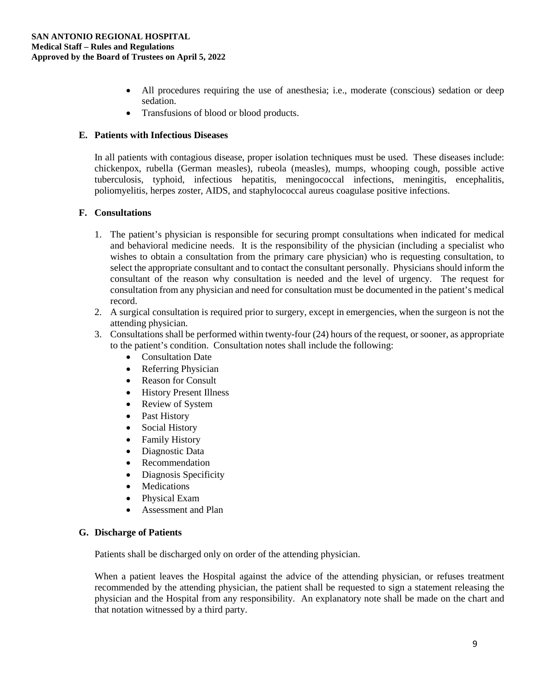- All procedures requiring the use of anesthesia; i.e., moderate (conscious) sedation or deep sedation.
- Transfusions of blood or blood products.

#### **E. Patients with Infectious Diseases**

In all patients with contagious disease, proper isolation techniques must be used. These diseases include: chickenpox, rubella (German measles), rubeola (measles), mumps, whooping cough, possible active tuberculosis, typhoid, infectious hepatitis, meningococcal infections, meningitis, encephalitis, poliomyelitis, herpes zoster, AIDS, and staphylococcal aureus coagulase positive infections.

#### **F. Consultations**

- 1. The patient's physician is responsible for securing prompt consultations when indicated for medical and behavioral medicine needs. It is the responsibility of the physician (including a specialist who wishes to obtain a consultation from the primary care physician) who is requesting consultation, to select the appropriate consultant and to contact the consultant personally. Physicians should inform the consultant of the reason why consultation is needed and the level of urgency. The request for consultation from any physician and need for consultation must be documented in the patient's medical record.
- 2. A surgical consultation is required prior to surgery, except in emergencies, when the surgeon is not the attending physician.
- 3. Consultations shall be performed within twenty-four (24) hours of the request, or sooner, as appropriate to the patient's condition. Consultation notes shall include the following:
	- Consultation Date
	- Referring Physician
	- Reason for Consult
	- History Present Illness
	- Review of System
	- Past History
	- Social History
	- Family History
	- Diagnostic Data
	- Recommendation
	- Diagnosis Specificity
	- Medications
	- Physical Exam
	- Assessment and Plan

#### **G. Discharge of Patients**

Patients shall be discharged only on order of the attending physician.

When a patient leaves the Hospital against the advice of the attending physician, or refuses treatment recommended by the attending physician, the patient shall be requested to sign a statement releasing the physician and the Hospital from any responsibility. An explanatory note shall be made on the chart and that notation witnessed by a third party.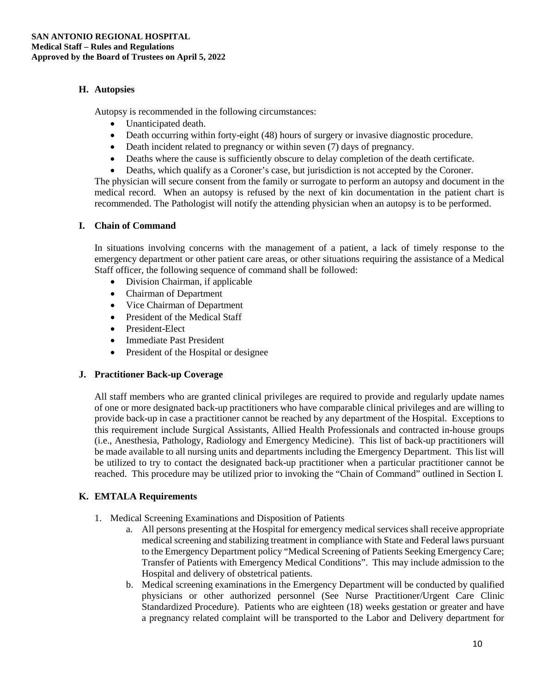## **H. Autopsies**

Autopsy is recommended in the following circumstances:

- Unanticipated death.
- Death occurring within forty-eight (48) hours of surgery or invasive diagnostic procedure.
- Death incident related to pregnancy or within seven (7) days of pregnancy.
- Deaths where the cause is sufficiently obscure to delay completion of the death certificate.
- Deaths, which qualify as a Coroner's case, but jurisdiction is not accepted by the Coroner.

The physician will secure consent from the family or surrogate to perform an autopsy and document in the medical record. When an autopsy is refused by the next of kin documentation in the patient chart is recommended. The Pathologist will notify the attending physician when an autopsy is to be performed.

#### **I. Chain of Command**

In situations involving concerns with the management of a patient, a lack of timely response to the emergency department or other patient care areas, or other situations requiring the assistance of a Medical Staff officer, the following sequence of command shall be followed:

- Division Chairman, if applicable
- Chairman of Department
- Vice Chairman of Department
- President of the Medical Staff
- President-Elect
- Immediate Past President
- President of the Hospital or designee

#### **J. Practitioner Back-up Coverage**

All staff members who are granted clinical privileges are required to provide and regularly update names of one or more designated back-up practitioners who have comparable clinical privileges and are willing to provide back-up in case a practitioner cannot be reached by any department of the Hospital. Exceptions to this requirement include Surgical Assistants, Allied Health Professionals and contracted in-house groups (i.e., Anesthesia, Pathology, Radiology and Emergency Medicine). This list of back-up practitioners will be made available to all nursing units and departments including the Emergency Department. This list will be utilized to try to contact the designated back-up practitioner when a particular practitioner cannot be reached. This procedure may be utilized prior to invoking the "Chain of Command" outlined in Section I.

## **K. EMTALA Requirements**

- 1. Medical Screening Examinations and Disposition of Patients
	- a. All persons presenting at the Hospital for emergency medical services shall receive appropriate medical screening and stabilizing treatment in compliance with State and Federal laws pursuant to the Emergency Department policy "Medical Screening of Patients Seeking Emergency Care; Transfer of Patients with Emergency Medical Conditions". This may include admission to the Hospital and delivery of obstetrical patients.
	- b. Medical screening examinations in the Emergency Department will be conducted by qualified physicians or other authorized personnel (See Nurse Practitioner/Urgent Care Clinic Standardized Procedure). Patients who are eighteen (18) weeks gestation or greater and have a pregnancy related complaint will be transported to the Labor and Delivery department for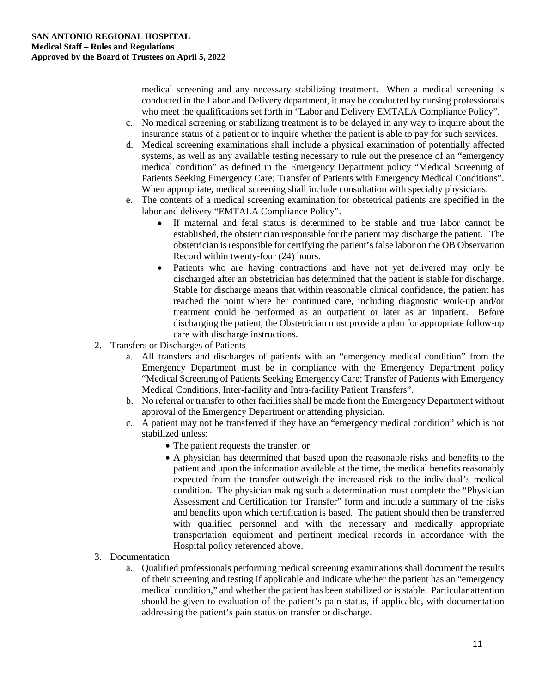medical screening and any necessary stabilizing treatment. When a medical screening is conducted in the Labor and Delivery department, it may be conducted by nursing professionals who meet the qualifications set forth in "Labor and Delivery EMTALA Compliance Policy".

- c. No medical screening or stabilizing treatment is to be delayed in any way to inquire about the insurance status of a patient or to inquire whether the patient is able to pay for such services.
- d. Medical screening examinations shall include a physical examination of potentially affected systems, as well as any available testing necessary to rule out the presence of an "emergency medical condition" as defined in the Emergency Department policy "Medical Screening of Patients Seeking Emergency Care; Transfer of Patients with Emergency Medical Conditions". When appropriate, medical screening shall include consultation with specialty physicians.
- e. The contents of a medical screening examination for obstetrical patients are specified in the labor and delivery "EMTALA Compliance Policy".
	- If maternal and fetal status is determined to be stable and true labor cannot be established, the obstetrician responsible for the patient may discharge the patient. The obstetrician is responsible for certifying the patient's false labor on the OB Observation Record within twenty-four (24) hours.
	- Patients who are having contractions and have not yet delivered may only be discharged after an obstetrician has determined that the patient is stable for discharge. Stable for discharge means that within reasonable clinical confidence, the patient has reached the point where her continued care, including diagnostic work-up and/or treatment could be performed as an outpatient or later as an inpatient. Before discharging the patient, the Obstetrician must provide a plan for appropriate follow-up care with discharge instructions.
- 2. Transfers or Discharges of Patients
	- a. All transfers and discharges of patients with an "emergency medical condition" from the Emergency Department must be in compliance with the Emergency Department policy "Medical Screening of Patients Seeking Emergency Care; Transfer of Patients with Emergency Medical Conditions, Inter-facility and Intra-facility Patient Transfers".
	- b. No referral or transfer to other facilities shall be made from the Emergency Department without approval of the Emergency Department or attending physician.
	- c. A patient may not be transferred if they have an "emergency medical condition" which is not stabilized unless:
		- The patient requests the transfer, or
		- A physician has determined that based upon the reasonable risks and benefits to the patient and upon the information available at the time, the medical benefits reasonably expected from the transfer outweigh the increased risk to the individual's medical condition. The physician making such a determination must complete the "Physician Assessment and Certification for Transfer" form and include a summary of the risks and benefits upon which certification is based. The patient should then be transferred with qualified personnel and with the necessary and medically appropriate transportation equipment and pertinent medical records in accordance with the Hospital policy referenced above.
- 3. Documentation
	- a. Qualified professionals performing medical screening examinations shall document the results of their screening and testing if applicable and indicate whether the patient has an "emergency medical condition," and whether the patient has been stabilized or is stable. Particular attention should be given to evaluation of the patient's pain status, if applicable, with documentation addressing the patient's pain status on transfer or discharge.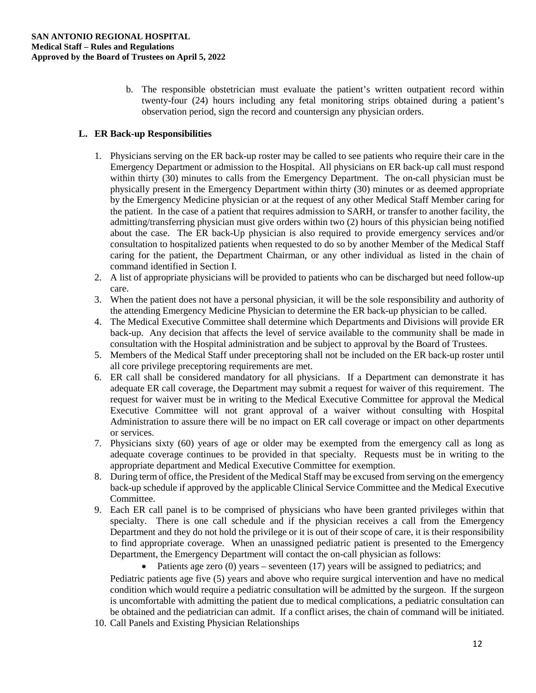b. The responsible obstetrician must evaluate the patient's written outpatient record within twenty-four (24) hours including any fetal monitoring strips obtained during a patient's observation period, sign the record and countersign any physician orders.

## **L. ER Back-up Responsibilities**

- 1. Physicians serving on the ER back-up roster may be called to see patients who require their care in the Emergency Department or admission to the Hospital. All physicians on ER back-up call must respond within thirty (30) minutes to calls from the Emergency Department. The on-call physician must be physically present in the Emergency Department within thirty (30) minutes or as deemed appropriate by the Emergency Medicine physician or at the request of any other Medical Staff Member caring for the patient. In the case of a patient that requires admission to SARH, or transfer to another facility, the admitting/transferring physician must give orders within two (2) hours of this physician being notified about the case. The ER back-Up physician is also required to provide emergency services and/or consultation to hospitalized patients when requested to do so by another Member of the Medical Staff caring for the patient, the Department Chairman, or any other individual as listed in the chain of command identified in Section I.
- 2. A list of appropriate physicians will be provided to patients who can be discharged but need follow-up care.
- 3. When the patient does not have a personal physician, it will be the sole responsibility and authority of the attending Emergency Medicine Physician to determine the ER back-up physician to be called.
- 4. The Medical Executive Committee shall determine which Departments and Divisions will provide ER back-up. Any decision that affects the level of service available to the community shall be made in consultation with the Hospital administration and be subject to approval by the Board of Trustees.
- 5. Members of the Medical Staff under preceptoring shall not be included on the ER back-up roster until all core privilege preceptoring requirements are met.
- 6. ER call shall be considered mandatory for all physicians. If a Department can demonstrate it has adequate ER call coverage, the Department may submit a request for waiver of this requirement. The request for waiver must be in writing to the Medical Executive Committee for approval the Medical Executive Committee will not grant approval of a waiver without consulting with Hospital Administration to assure there will be no impact on ER call coverage or impact on other departments or services.
- 7. Physicians sixty (60) years of age or older may be exempted from the emergency call as long as adequate coverage continues to be provided in that specialty. Requests must be in writing to the appropriate department and Medical Executive Committee for exemption.
- 8. During term of office, the President of the Medical Staff may be excused from serving on the emergency back-up schedule if approved by the applicable Clinical Service Committee and the Medical Executive Committee.
- 9. Each ER call panel is to be comprised of physicians who have been granted privileges within that specialty. There is one call schedule and if the physician receives a call from the Emergency Department and they do not hold the privilege or it is out of their scope of care, it is their responsibility to find appropriate coverage. When an unassigned pediatric patient is presented to the Emergency Department, the Emergency Department will contact the on-call physician as follows:
	- Patients age zero (0) years seventeen (17) years will be assigned to pediatrics; and

Pediatric patients age five (5) years and above who require surgical intervention and have no medical condition which would require a pediatric consultation will be admitted by the surgeon. If the surgeon is uncomfortable with admitting the patient due to medical complications, a pediatric consultation can be obtained and the pediatrician can admit. If a conflict arises, the chain of command will be initiated.

10. Call Panels and Existing Physician Relationships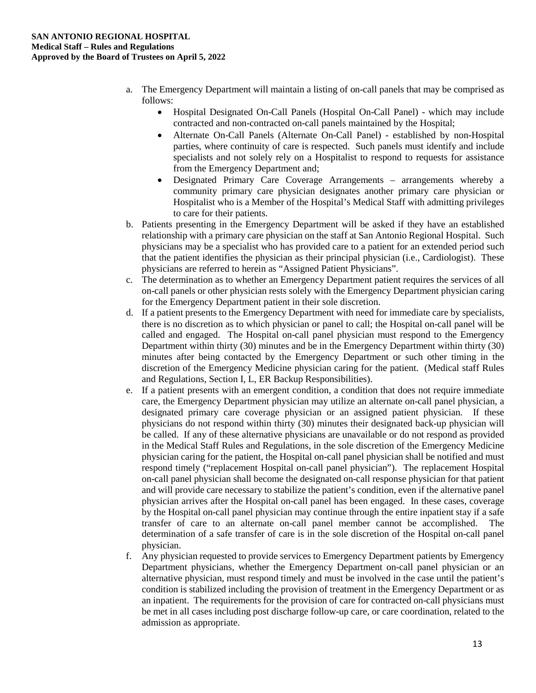- a. The Emergency Department will maintain a listing of on-call panels that may be comprised as follows:
	- Hospital Designated On-Call Panels (Hospital On-Call Panel) which may include contracted and non-contracted on-call panels maintained by the Hospital;
	- Alternate On-Call Panels (Alternate On-Call Panel) established by non-Hospital parties, where continuity of care is respected. Such panels must identify and include specialists and not solely rely on a Hospitalist to respond to requests for assistance from the Emergency Department and;
	- Designated Primary Care Coverage Arrangements arrangements whereby a community primary care physician designates another primary care physician or Hospitalist who is a Member of the Hospital's Medical Staff with admitting privileges to care for their patients.
- b. Patients presenting in the Emergency Department will be asked if they have an established relationship with a primary care physician on the staff at San Antonio Regional Hospital. Such physicians may be a specialist who has provided care to a patient for an extended period such that the patient identifies the physician as their principal physician (i.e., Cardiologist). These physicians are referred to herein as "Assigned Patient Physicians".
- c. The determination as to whether an Emergency Department patient requires the services of all on-call panels or other physician rests solely with the Emergency Department physician caring for the Emergency Department patient in their sole discretion.
- d. If a patient presents to the Emergency Department with need for immediate care by specialists, there is no discretion as to which physician or panel to call; the Hospital on-call panel will be called and engaged. The Hospital on-call panel physician must respond to the Emergency Department within thirty (30) minutes and be in the Emergency Department within thirty (30) minutes after being contacted by the Emergency Department or such other timing in the discretion of the Emergency Medicine physician caring for the patient. (Medical staff Rules and Regulations, Section I, L, ER Backup Responsibilities).
- e. If a patient presents with an emergent condition, a condition that does not require immediate care, the Emergency Department physician may utilize an alternate on-call panel physician, a designated primary care coverage physician or an assigned patient physician. If these physicians do not respond within thirty (30) minutes their designated back-up physician will be called. If any of these alternative physicians are unavailable or do not respond as provided in the Medical Staff Rules and Regulations, in the sole discretion of the Emergency Medicine physician caring for the patient, the Hospital on-call panel physician shall be notified and must respond timely ("replacement Hospital on-call panel physician"). The replacement Hospital on-call panel physician shall become the designated on-call response physician for that patient and will provide care necessary to stabilize the patient's condition, even if the alternative panel physician arrives after the Hospital on-call panel has been engaged. In these cases, coverage by the Hospital on-call panel physician may continue through the entire inpatient stay if a safe transfer of care to an alternate on-call panel member cannot be accomplished. The determination of a safe transfer of care is in the sole discretion of the Hospital on-call panel physician.
- f. Any physician requested to provide services to Emergency Department patients by Emergency Department physicians, whether the Emergency Department on-call panel physician or an alternative physician, must respond timely and must be involved in the case until the patient's condition is stabilized including the provision of treatment in the Emergency Department or as an inpatient. The requirements for the provision of care for contracted on-call physicians must be met in all cases including post discharge follow-up care, or care coordination, related to the admission as appropriate.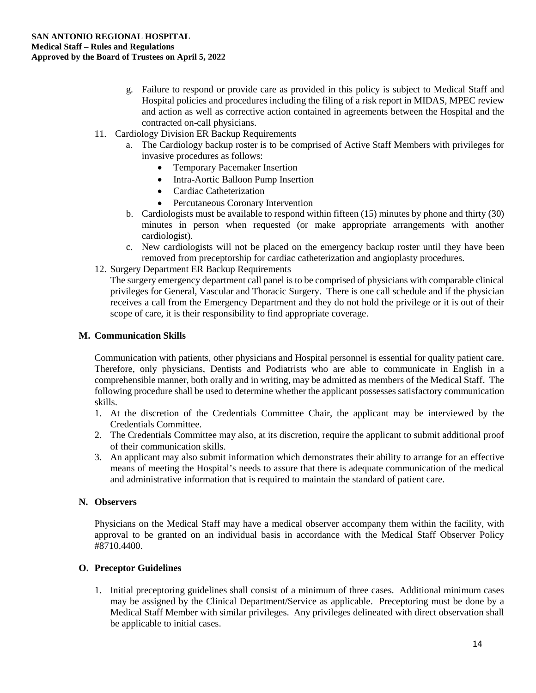- g. Failure to respond or provide care as provided in this policy is subject to Medical Staff and Hospital policies and procedures including the filing of a risk report in MIDAS, MPEC review and action as well as corrective action contained in agreements between the Hospital and the contracted on-call physicians.
- 11. Cardiology Division ER Backup Requirements
	- a. The Cardiology backup roster is to be comprised of Active Staff Members with privileges for invasive procedures as follows:
		- Temporary Pacemaker Insertion
		- Intra-Aortic Balloon Pump Insertion
		- Cardiac Catheterization
		- Percutaneous Coronary Intervention
	- b. Cardiologists must be available to respond within fifteen (15) minutes by phone and thirty (30) minutes in person when requested (or make appropriate arrangements with another cardiologist).
	- c. New cardiologists will not be placed on the emergency backup roster until they have been removed from preceptorship for cardiac catheterization and angioplasty procedures.
- 12. Surgery Department ER Backup Requirements

The surgery emergency department call panel is to be comprised of physicians with comparable clinical privileges for General, Vascular and Thoracic Surgery. There is one call schedule and if the physician receives a call from the Emergency Department and they do not hold the privilege or it is out of their scope of care, it is their responsibility to find appropriate coverage.

#### **M. Communication Skills**

Communication with patients, other physicians and Hospital personnel is essential for quality patient care. Therefore, only physicians, Dentists and Podiatrists who are able to communicate in English in a comprehensible manner, both orally and in writing, may be admitted as members of the Medical Staff. The following procedure shall be used to determine whether the applicant possesses satisfactory communication skills.

- 1. At the discretion of the Credentials Committee Chair, the applicant may be interviewed by the Credentials Committee.
- 2. The Credentials Committee may also, at its discretion, require the applicant to submit additional proof of their communication skills.
- 3. An applicant may also submit information which demonstrates their ability to arrange for an effective means of meeting the Hospital's needs to assure that there is adequate communication of the medical and administrative information that is required to maintain the standard of patient care.

#### **N. Observers**

Physicians on the Medical Staff may have a medical observer accompany them within the facility, with approval to be granted on an individual basis in accordance with the Medical Staff Observer Policy #8710.4400.

#### **O. Preceptor Guidelines**

1. Initial preceptoring guidelines shall consist of a minimum of three cases. Additional minimum cases may be assigned by the Clinical Department/Service as applicable. Preceptoring must be done by a Medical Staff Member with similar privileges. Any privileges delineated with direct observation shall be applicable to initial cases.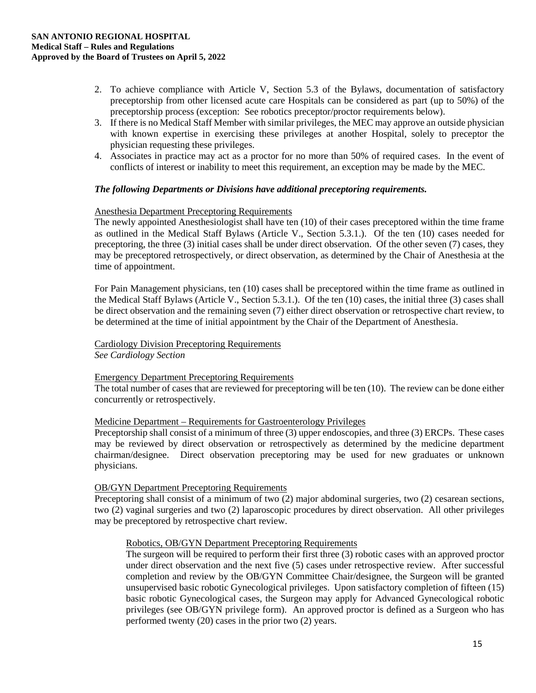- 2. To achieve compliance with Article V, Section 5.3 of the Bylaws, documentation of satisfactory preceptorship from other licensed acute care Hospitals can be considered as part (up to 50%) of the preceptorship process (exception: See robotics preceptor/proctor requirements below).
- 3. If there is no Medical Staff Member with similar privileges, the MEC may approve an outside physician with known expertise in exercising these privileges at another Hospital, solely to preceptor the physician requesting these privileges.
- 4. Associates in practice may act as a proctor for no more than 50% of required cases. In the event of conflicts of interest or inability to meet this requirement, an exception may be made by the MEC.

#### *The following Departments or Divisions have additional preceptoring requirements.*

#### Anesthesia Department Preceptoring Requirements

The newly appointed Anesthesiologist shall have ten (10) of their cases preceptored within the time frame as outlined in the Medical Staff Bylaws (Article V., Section 5.3.1.). Of the ten (10) cases needed for preceptoring, the three (3) initial cases shall be under direct observation. Of the other seven (7) cases, they may be preceptored retrospectively, or direct observation, as determined by the Chair of Anesthesia at the time of appointment.

For Pain Management physicians, ten (10) cases shall be preceptored within the time frame as outlined in the Medical Staff Bylaws (Article V., Section 5.3.1.). Of the ten (10) cases, the initial three (3) cases shall be direct observation and the remaining seven (7) either direct observation or retrospective chart review, to be determined at the time of initial appointment by the Chair of the Department of Anesthesia.

## Cardiology Division Preceptoring Requirements

*See Cardiology Section* 

#### Emergency Department Preceptoring Requirements

The total number of cases that are reviewed for preceptoring will be ten (10). The review can be done either concurrently or retrospectively.

## Medicine Department – Requirements for Gastroenterology Privileges

Preceptorship shall consist of a minimum of three (3) upper endoscopies, and three (3) ERCPs. These cases may be reviewed by direct observation or retrospectively as determined by the medicine department chairman/designee. Direct observation preceptoring may be used for new graduates or unknown physicians.

## OB/GYN Department Preceptoring Requirements

Preceptoring shall consist of a minimum of two (2) major abdominal surgeries, two (2) cesarean sections, two (2) vaginal surgeries and two (2) laparoscopic procedures by direct observation. All other privileges may be preceptored by retrospective chart review.

## Robotics, OB/GYN Department Preceptoring Requirements

The surgeon will be required to perform their first three (3) robotic cases with an approved proctor under direct observation and the next five (5) cases under retrospective review. After successful completion and review by the OB/GYN Committee Chair/designee, the Surgeon will be granted unsupervised basic robotic Gynecological privileges. Upon satisfactory completion of fifteen (15) basic robotic Gynecological cases, the Surgeon may apply for Advanced Gynecological robotic privileges (see OB/GYN privilege form). An approved proctor is defined as a Surgeon who has performed twenty (20) cases in the prior two (2) years.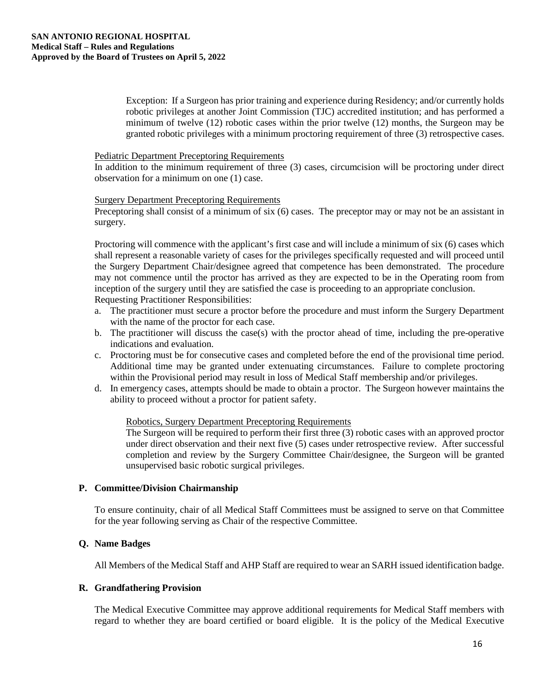Exception: If a Surgeon has prior training and experience during Residency; and/or currently holds robotic privileges at another Joint Commission (TJC) accredited institution; and has performed a minimum of twelve (12) robotic cases within the prior twelve (12) months, the Surgeon may be granted robotic privileges with a minimum proctoring requirement of three (3) retrospective cases.

#### Pediatric Department Preceptoring Requirements

In addition to the minimum requirement of three (3) cases, circumcision will be proctoring under direct observation for a minimum on one (1) case.

#### Surgery Department Preceptoring Requirements

Preceptoring shall consist of a minimum of six (6) cases. The preceptor may or may not be an assistant in surgery.

Proctoring will commence with the applicant's first case and will include a minimum of six (6) cases which shall represent a reasonable variety of cases for the privileges specifically requested and will proceed until the Surgery Department Chair/designee agreed that competence has been demonstrated. The procedure may not commence until the proctor has arrived as they are expected to be in the Operating room from inception of the surgery until they are satisfied the case is proceeding to an appropriate conclusion. Requesting Practitioner Responsibilities:

- a. The practitioner must secure a proctor before the procedure and must inform the Surgery Department with the name of the proctor for each case.
- b. The practitioner will discuss the case(s) with the proctor ahead of time, including the pre-operative indications and evaluation.
- c. Proctoring must be for consecutive cases and completed before the end of the provisional time period. Additional time may be granted under extenuating circumstances. Failure to complete proctoring within the Provisional period may result in loss of Medical Staff membership and/or privileges.
- d. In emergency cases, attempts should be made to obtain a proctor. The Surgeon however maintains the ability to proceed without a proctor for patient safety.

#### Robotics, Surgery Department Preceptoring Requirements

The Surgeon will be required to perform their first three (3) robotic cases with an approved proctor under direct observation and their next five (5) cases under retrospective review. After successful completion and review by the Surgery Committee Chair/designee, the Surgeon will be granted unsupervised basic robotic surgical privileges.

#### **P. Committee/Division Chairmanship**

To ensure continuity, chair of all Medical Staff Committees must be assigned to serve on that Committee for the year following serving as Chair of the respective Committee.

#### **Q. Name Badges**

All Members of the Medical Staff and AHP Staff are required to wear an SARH issued identification badge.

#### **R. Grandfathering Provision**

The Medical Executive Committee may approve additional requirements for Medical Staff members with regard to whether they are board certified or board eligible. It is the policy of the Medical Executive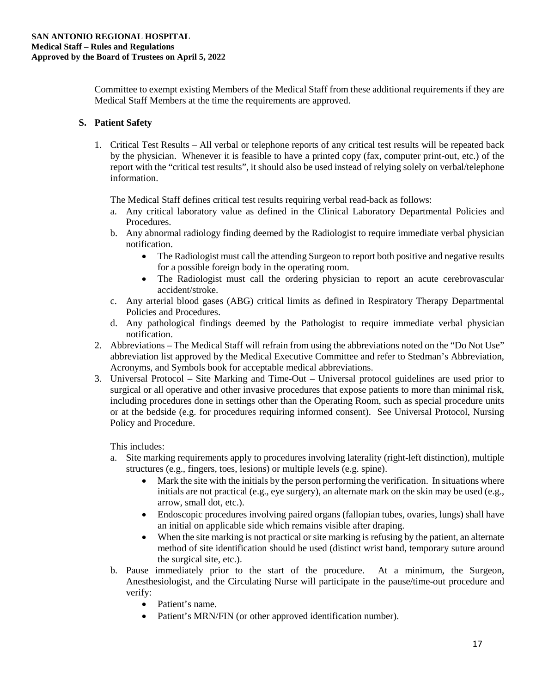Committee to exempt existing Members of the Medical Staff from these additional requirements if they are Medical Staff Members at the time the requirements are approved.

## **S. Patient Safety**

1. Critical Test Results – All verbal or telephone reports of any critical test results will be repeated back by the physician. Whenever it is feasible to have a printed copy (fax, computer print-out, etc.) of the report with the "critical test results", it should also be used instead of relying solely on verbal/telephone information.

The Medical Staff defines critical test results requiring verbal read-back as follows:

- a. Any critical laboratory value as defined in the Clinical Laboratory Departmental Policies and Procedures.
- b. Any abnormal radiology finding deemed by the Radiologist to require immediate verbal physician notification.
	- The Radiologist must call the attending Surgeon to report both positive and negative results for a possible foreign body in the operating room.
	- The Radiologist must call the ordering physician to report an acute cerebrovascular accident/stroke.
- c. Any arterial blood gases (ABG) critical limits as defined in Respiratory Therapy Departmental Policies and Procedures.
- d. Any pathological findings deemed by the Pathologist to require immediate verbal physician notification.
- 2. Abbreviations The Medical Staff will refrain from using the abbreviations noted on the "Do Not Use" abbreviation list approved by the Medical Executive Committee and refer to Stedman's Abbreviation, Acronyms, and Symbols book for acceptable medical abbreviations.
- 3. Universal Protocol Site Marking and Time-Out Universal protocol guidelines are used prior to surgical or all operative and other invasive procedures that expose patients to more than minimal risk, including procedures done in settings other than the Operating Room, such as special procedure units or at the bedside (e.g. for procedures requiring informed consent). See Universal Protocol, Nursing Policy and Procedure.

This includes:

- a. Site marking requirements apply to procedures involving laterality (right-left distinction), multiple structures (e.g., fingers, toes, lesions) or multiple levels (e.g. spine).
	- Mark the site with the initials by the person performing the verification. In situations where initials are not practical (e.g., eye surgery), an alternate mark on the skin may be used (e.g., arrow, small dot, etc.).
	- Endoscopic procedures involving paired organs (fallopian tubes, ovaries, lungs) shall have an initial on applicable side which remains visible after draping.
	- When the site marking is not practical or site marking is refusing by the patient, an alternate method of site identification should be used (distinct wrist band, temporary suture around the surgical site, etc.).
- b. Pause immediately prior to the start of the procedure. At a minimum, the Surgeon, Anesthesiologist, and the Circulating Nurse will participate in the pause/time-out procedure and verify:
	- Patient's name.
	- Patient's MRN/FIN (or other approved identification number).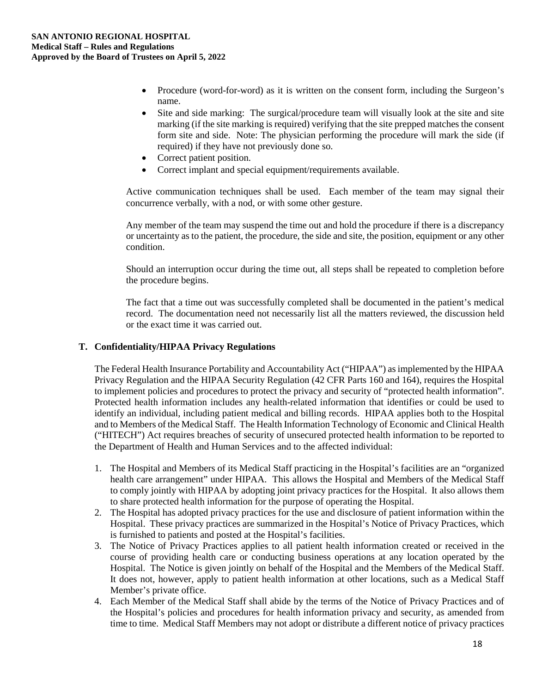- Procedure (word-for-word) as it is written on the consent form, including the Surgeon's name.
- Site and side marking: The surgical/procedure team will visually look at the site and site marking (if the site marking is required) verifying that the site prepped matches the consent form site and side. Note: The physician performing the procedure will mark the side (if required) if they have not previously done so.
- Correct patient position.
- Correct implant and special equipment/requirements available.

Active communication techniques shall be used. Each member of the team may signal their concurrence verbally, with a nod, or with some other gesture.

Any member of the team may suspend the time out and hold the procedure if there is a discrepancy or uncertainty as to the patient, the procedure, the side and site, the position, equipment or any other condition.

Should an interruption occur during the time out, all steps shall be repeated to completion before the procedure begins.

The fact that a time out was successfully completed shall be documented in the patient's medical record. The documentation need not necessarily list all the matters reviewed, the discussion held or the exact time it was carried out.

#### **T. Confidentiality/HIPAA Privacy Regulations**

The Federal Health Insurance Portability and Accountability Act ("HIPAA") as implemented by the HIPAA Privacy Regulation and the HIPAA Security Regulation (42 CFR Parts 160 and 164), requires the Hospital to implement policies and procedures to protect the privacy and security of "protected health information". Protected health information includes any health-related information that identifies or could be used to identify an individual, including patient medical and billing records. HIPAA applies both to the Hospital and to Members of the Medical Staff. The Health Information Technology of Economic and Clinical Health ("HITECH") Act requires breaches of security of unsecured protected health information to be reported to the Department of Health and Human Services and to the affected individual:

- 1. The Hospital and Members of its Medical Staff practicing in the Hospital's facilities are an "organized health care arrangement" under HIPAA. This allows the Hospital and Members of the Medical Staff to comply jointly with HIPAA by adopting joint privacy practices for the Hospital. It also allows them to share protected health information for the purpose of operating the Hospital.
- 2. The Hospital has adopted privacy practices for the use and disclosure of patient information within the Hospital. These privacy practices are summarized in the Hospital's Notice of Privacy Practices, which is furnished to patients and posted at the Hospital's facilities.
- 3. The Notice of Privacy Practices applies to all patient health information created or received in the course of providing health care or conducting business operations at any location operated by the Hospital. The Notice is given jointly on behalf of the Hospital and the Members of the Medical Staff. It does not, however, apply to patient health information at other locations, such as a Medical Staff Member's private office.
- 4. Each Member of the Medical Staff shall abide by the terms of the Notice of Privacy Practices and of the Hospital's policies and procedures for health information privacy and security, as amended from time to time. Medical Staff Members may not adopt or distribute a different notice of privacy practices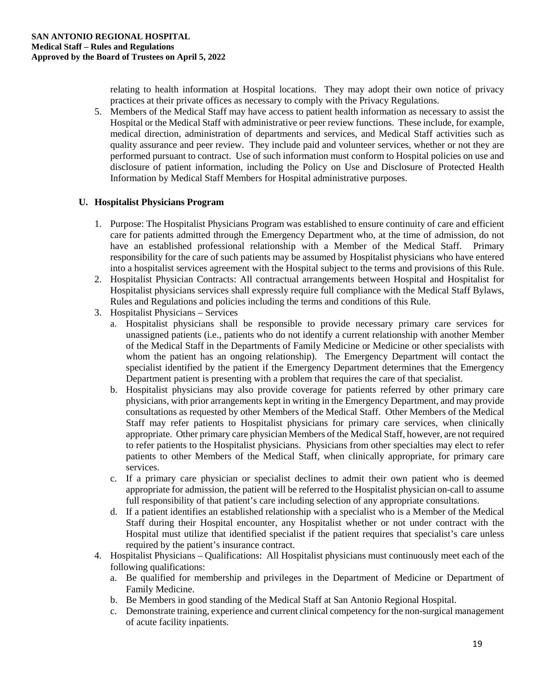relating to health information at Hospital locations. They may adopt their own notice of privacy practices at their private offices as necessary to comply with the Privacy Regulations.

5. Members of the Medical Staff may have access to patient health information as necessary to assist the Hospital or the Medical Staff with administrative or peer review functions. These include, for example, medical direction, administration of departments and services, and Medical Staff activities such as quality assurance and peer review. They include paid and volunteer services, whether or not they are performed pursuant to contract. Use of such information must conform to Hospital policies on use and disclosure of patient information, including the Policy on Use and Disclosure of Protected Health Information by Medical Staff Members for Hospital administrative purposes.

## **U. Hospitalist Physicians Program**

- 1. Purpose: The Hospitalist Physicians Program was established to ensure continuity of care and efficient care for patients admitted through the Emergency Department who, at the time of admission, do not have an established professional relationship with a Member of the Medical Staff. Primary responsibility for the care of such patients may be assumed by Hospitalist physicians who have entered into a hospitalist services agreement with the Hospital subject to the terms and provisions of this Rule.
- 2. Hospitalist Physician Contracts: All contractual arrangements between Hospital and Hospitalist for Hospitalist physicians services shall expressly require full compliance with the Medical Staff Bylaws, Rules and Regulations and policies including the terms and conditions of this Rule.
- 3. Hospitalist Physicians Services
	- a. Hospitalist physicians shall be responsible to provide necessary primary care services for unassigned patients (i.e., patients who do not identify a current relationship with another Member of the Medical Staff in the Departments of Family Medicine or Medicine or other specialists with whom the patient has an ongoing relationship). The Emergency Department will contact the specialist identified by the patient if the Emergency Department determines that the Emergency Department patient is presenting with a problem that requires the care of that specialist.
	- b. Hospitalist physicians may also provide coverage for patients referred by other primary care physicians, with prior arrangements kept in writing in the Emergency Department, and may provide consultations as requested by other Members of the Medical Staff. Other Members of the Medical Staff may refer patients to Hospitalist physicians for primary care services, when clinically appropriate. Other primary care physician Members of the Medical Staff, however, are not required to refer patients to the Hospitalist physicians. Physicians from other specialties may elect to refer patients to other Members of the Medical Staff, when clinically appropriate, for primary care services.
	- c. If a primary care physician or specialist declines to admit their own patient who is deemed appropriate for admission, the patient will be referred to the Hospitalist physician on-call to assume full responsibility of that patient's care including selection of any appropriate consultations.
	- d. If a patient identifies an established relationship with a specialist who is a Member of the Medical Staff during their Hospital encounter, any Hospitalist whether or not under contract with the Hospital must utilize that identified specialist if the patient requires that specialist's care unless required by the patient's insurance contract.
- 4. Hospitalist Physicians Qualifications: All Hospitalist physicians must continuously meet each of the following qualifications:
	- a. Be qualified for membership and privileges in the Department of Medicine or Department of Family Medicine.
	- b. Be Members in good standing of the Medical Staff at San Antonio Regional Hospital.
	- c. Demonstrate training, experience and current clinical competency for the non-surgical management of acute facility inpatients.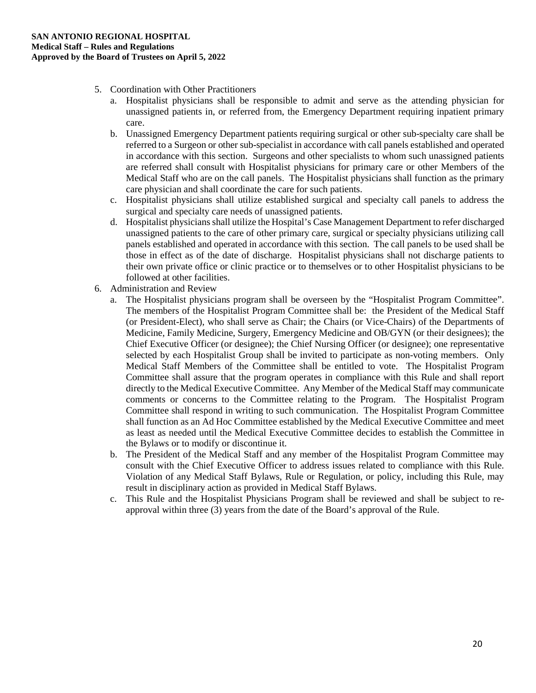- 5. Coordination with Other Practitioners
	- a. Hospitalist physicians shall be responsible to admit and serve as the attending physician for unassigned patients in, or referred from, the Emergency Department requiring inpatient primary care.
	- b. Unassigned Emergency Department patients requiring surgical or other sub-specialty care shall be referred to a Surgeon or other sub-specialist in accordance with call panels established and operated in accordance with this section. Surgeons and other specialists to whom such unassigned patients are referred shall consult with Hospitalist physicians for primary care or other Members of the Medical Staff who are on the call panels. The Hospitalist physicians shall function as the primary care physician and shall coordinate the care for such patients.
	- c. Hospitalist physicians shall utilize established surgical and specialty call panels to address the surgical and specialty care needs of unassigned patients.
	- d. Hospitalist physicians shall utilize the Hospital's Case Management Department to refer discharged unassigned patients to the care of other primary care, surgical or specialty physicians utilizing call panels established and operated in accordance with this section. The call panels to be used shall be those in effect as of the date of discharge. Hospitalist physicians shall not discharge patients to their own private office or clinic practice or to themselves or to other Hospitalist physicians to be followed at other facilities.
- 6. Administration and Review
	- a. The Hospitalist physicians program shall be overseen by the "Hospitalist Program Committee". The members of the Hospitalist Program Committee shall be: the President of the Medical Staff (or President-Elect), who shall serve as Chair; the Chairs (or Vice-Chairs) of the Departments of Medicine, Family Medicine, Surgery, Emergency Medicine and OB/GYN (or their designees); the Chief Executive Officer (or designee); the Chief Nursing Officer (or designee); one representative selected by each Hospitalist Group shall be invited to participate as non-voting members. Only Medical Staff Members of the Committee shall be entitled to vote. The Hospitalist Program Committee shall assure that the program operates in compliance with this Rule and shall report directly to the Medical Executive Committee. Any Member of the Medical Staff may communicate comments or concerns to the Committee relating to the Program. The Hospitalist Program Committee shall respond in writing to such communication. The Hospitalist Program Committee shall function as an Ad Hoc Committee established by the Medical Executive Committee and meet as least as needed until the Medical Executive Committee decides to establish the Committee in the Bylaws or to modify or discontinue it.
	- b. The President of the Medical Staff and any member of the Hospitalist Program Committee may consult with the Chief Executive Officer to address issues related to compliance with this Rule. Violation of any Medical Staff Bylaws, Rule or Regulation, or policy, including this Rule, may result in disciplinary action as provided in Medical Staff Bylaws.
	- c. This Rule and the Hospitalist Physicians Program shall be reviewed and shall be subject to reapproval within three (3) years from the date of the Board's approval of the Rule.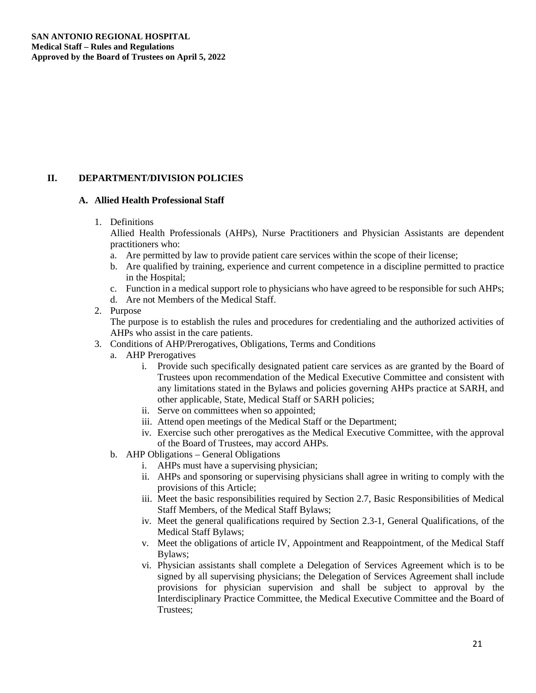## **II. DEPARTMENT/DIVISION POLICIES**

#### **A. Allied Health Professional Staff**

#### 1. Definitions

Allied Health Professionals (AHPs), Nurse Practitioners and Physician Assistants are dependent practitioners who:

- a. Are permitted by law to provide patient care services within the scope of their license;
- b. Are qualified by training, experience and current competence in a discipline permitted to practice in the Hospital;
- c. Function in a medical support role to physicians who have agreed to be responsible for such AHPs;
- d. Are not Members of the Medical Staff.
- 2. Purpose

The purpose is to establish the rules and procedures for credentialing and the authorized activities of AHPs who assist in the care patients.

- 3. Conditions of AHP/Prerogatives, Obligations, Terms and Conditions
	- a. AHP Prerogatives
		- i. Provide such specifically designated patient care services as are granted by the Board of Trustees upon recommendation of the Medical Executive Committee and consistent with any limitations stated in the Bylaws and policies governing AHPs practice at SARH, and other applicable, State, Medical Staff or SARH policies;
		- ii. Serve on committees when so appointed;
		- iii. Attend open meetings of the Medical Staff or the Department;
		- iv. Exercise such other prerogatives as the Medical Executive Committee, with the approval of the Board of Trustees, may accord AHPs.
	- b. AHP Obligations General Obligations
		- i. AHPs must have a supervising physician;
		- ii. AHPs and sponsoring or supervising physicians shall agree in writing to comply with the provisions of this Article;
		- iii. Meet the basic responsibilities required by Section 2.7, Basic Responsibilities of Medical Staff Members, of the Medical Staff Bylaws;
		- iv. Meet the general qualifications required by Section 2.3-1, General Qualifications, of the Medical Staff Bylaws;
		- v. Meet the obligations of article IV, Appointment and Reappointment, of the Medical Staff Bylaws;
		- vi. Physician assistants shall complete a Delegation of Services Agreement which is to be signed by all supervising physicians; the Delegation of Services Agreement shall include provisions for physician supervision and shall be subject to approval by the Interdisciplinary Practice Committee, the Medical Executive Committee and the Board of Trustees;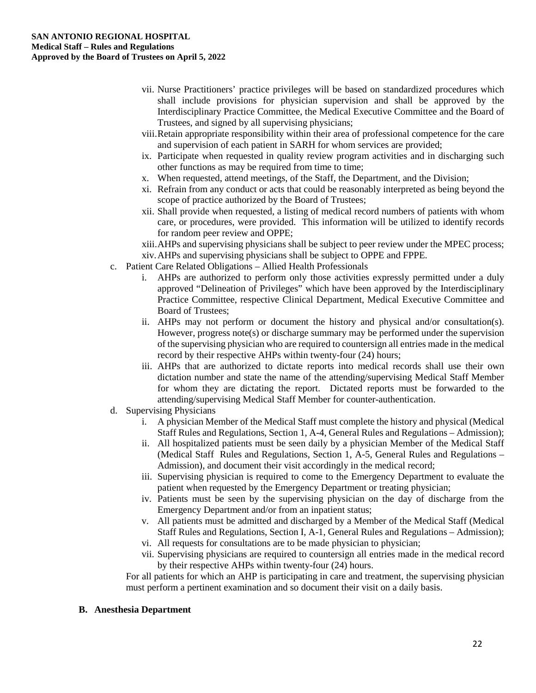- vii. Nurse Practitioners' practice privileges will be based on standardized procedures which shall include provisions for physician supervision and shall be approved by the Interdisciplinary Practice Committee, the Medical Executive Committee and the Board of Trustees, and signed by all supervising physicians;
- viii.Retain appropriate responsibility within their area of professional competence for the care and supervision of each patient in SARH for whom services are provided;
- ix. Participate when requested in quality review program activities and in discharging such other functions as may be required from time to time;
- x. When requested, attend meetings, of the Staff, the Department, and the Division;
- xi. Refrain from any conduct or acts that could be reasonably interpreted as being beyond the scope of practice authorized by the Board of Trustees;
- xii. Shall provide when requested, a listing of medical record numbers of patients with whom care, or procedures, were provided. This information will be utilized to identify records for random peer review and OPPE;

xiii.AHPs and supervising physicians shall be subject to peer review under the MPEC process; xiv.AHPs and supervising physicians shall be subject to OPPE and FPPE.

- c. Patient Care Related Obligations Allied Health Professionals
	- i. AHPs are authorized to perform only those activities expressly permitted under a duly approved "Delineation of Privileges" which have been approved by the Interdisciplinary Practice Committee, respective Clinical Department, Medical Executive Committee and Board of Trustees;
	- ii. AHPs may not perform or document the history and physical and/or consultation(s). However, progress note(s) or discharge summary may be performed under the supervision of the supervising physician who are required to countersign all entries made in the medical record by their respective AHPs within twenty-four (24) hours;
	- iii. AHPs that are authorized to dictate reports into medical records shall use their own dictation number and state the name of the attending/supervising Medical Staff Member for whom they are dictating the report. Dictated reports must be forwarded to the attending/supervising Medical Staff Member for counter-authentication.
- d. Supervising Physicians
	- i. A physician Member of the Medical Staff must complete the history and physical (Medical Staff Rules and Regulations, Section 1, A-4, General Rules and Regulations – Admission);
	- ii. All hospitalized patients must be seen daily by a physician Member of the Medical Staff (Medical Staff Rules and Regulations, Section 1, A-5, General Rules and Regulations – Admission), and document their visit accordingly in the medical record;
	- iii. Supervising physician is required to come to the Emergency Department to evaluate the patient when requested by the Emergency Department or treating physician;
	- iv. Patients must be seen by the supervising physician on the day of discharge from the Emergency Department and/or from an inpatient status;
	- v. All patients must be admitted and discharged by a Member of the Medical Staff (Medical Staff Rules and Regulations, Section I, A-1, General Rules and Regulations – Admission);
	- vi. All requests for consultations are to be made physician to physician;
	- vii. Supervising physicians are required to countersign all entries made in the medical record by their respective AHPs within twenty-four (24) hours.

For all patients for which an AHP is participating in care and treatment, the supervising physician must perform a pertinent examination and so document their visit on a daily basis.

#### **B. Anesthesia Department**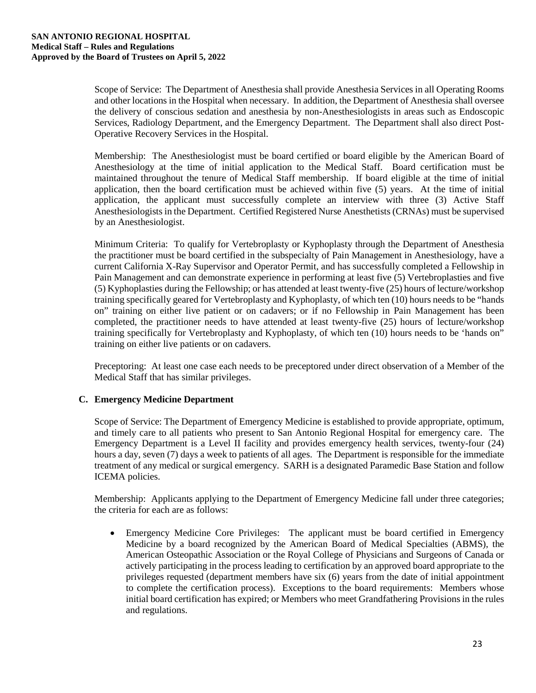Scope of Service: The Department of Anesthesia shall provide Anesthesia Services in all Operating Rooms and other locations in the Hospital when necessary. In addition, the Department of Anesthesia shall oversee the delivery of conscious sedation and anesthesia by non-Anesthesiologists in areas such as Endoscopic Services, Radiology Department, and the Emergency Department. The Department shall also direct Post-Operative Recovery Services in the Hospital.

Membership: The Anesthesiologist must be board certified or board eligible by the American Board of Anesthesiology at the time of initial application to the Medical Staff. Board certification must be maintained throughout the tenure of Medical Staff membership. If board eligible at the time of initial application, then the board certification must be achieved within five (5) years. At the time of initial application, the applicant must successfully complete an interview with three (3) Active Staff Anesthesiologists in the Department. Certified Registered Nurse Anesthetists (CRNAs) must be supervised by an Anesthesiologist.

Minimum Criteria: To qualify for Vertebroplasty or Kyphoplasty through the Department of Anesthesia the practitioner must be board certified in the subspecialty of Pain Management in Anesthesiology, have a current California X-Ray Supervisor and Operator Permit, and has successfully completed a Fellowship in Pain Management and can demonstrate experience in performing at least five (5) Vertebroplasties and five (5) Kyphoplasties during the Fellowship; or has attended at least twenty-five (25) hours of lecture/workshop training specifically geared for Vertebroplasty and Kyphoplasty, of which ten (10) hours needs to be "hands on" training on either live patient or on cadavers; or if no Fellowship in Pain Management has been completed, the practitioner needs to have attended at least twenty-five (25) hours of lecture/workshop training specifically for Vertebroplasty and Kyphoplasty, of which ten (10) hours needs to be 'hands on" training on either live patients or on cadavers.

Preceptoring: At least one case each needs to be preceptored under direct observation of a Member of the Medical Staff that has similar privileges.

## **C. Emergency Medicine Department**

Scope of Service: The Department of Emergency Medicine is established to provide appropriate, optimum, and timely care to all patients who present to San Antonio Regional Hospital for emergency care. The Emergency Department is a Level II facility and provides emergency health services, twenty-four (24) hours a day, seven (7) days a week to patients of all ages. The Department is responsible for the immediate treatment of any medical or surgical emergency. SARH is a designated Paramedic Base Station and follow ICEMA policies.

Membership: Applicants applying to the Department of Emergency Medicine fall under three categories; the criteria for each are as follows:

• Emergency Medicine Core Privileges: The applicant must be board certified in Emergency Medicine by a board recognized by the American Board of Medical Specialties (ABMS), the American Osteopathic Association or the Royal College of Physicians and Surgeons of Canada or actively participating in the process leading to certification by an approved board appropriate to the privileges requested (department members have six (6) years from the date of initial appointment to complete the certification process). Exceptions to the board requirements: Members whose initial board certification has expired; or Members who meet Grandfathering Provisions in the rules and regulations.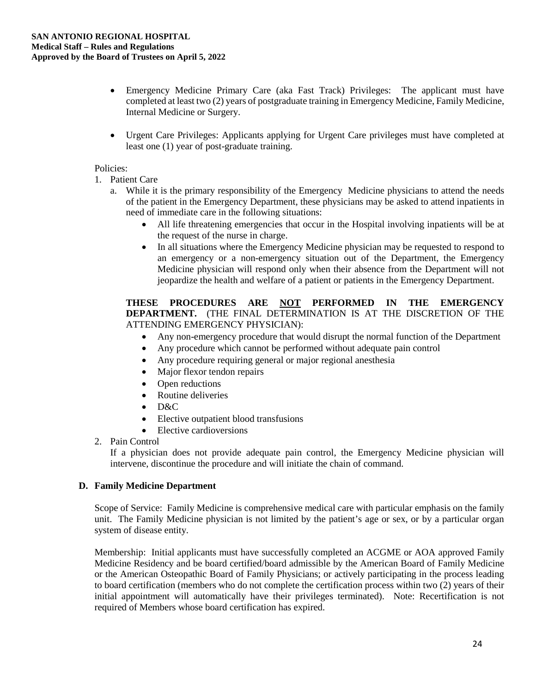- Emergency Medicine Primary Care (aka Fast Track) Privileges: The applicant must have completed at least two (2) years of postgraduate training in Emergency Medicine, Family Medicine, Internal Medicine or Surgery.
- Urgent Care Privileges: Applicants applying for Urgent Care privileges must have completed at least one (1) year of post-graduate training.

#### Policies:

- 1. Patient Care
	- a. While it is the primary responsibility of the Emergency Medicine physicians to attend the needs of the patient in the Emergency Department, these physicians may be asked to attend inpatients in need of immediate care in the following situations:
		- All life threatening emergencies that occur in the Hospital involving inpatients will be at the request of the nurse in charge.
		- In all situations where the Emergency Medicine physician may be requested to respond to an emergency or a non-emergency situation out of the Department, the Emergency Medicine physician will respond only when their absence from the Department will not jeopardize the health and welfare of a patient or patients in the Emergency Department.

#### **THESE PROCEDURES ARE NOT PERFORMED IN THE EMERGENCY DEPARTMENT.** (THE FINAL DETERMINATION IS AT THE DISCRETION OF THE ATTENDING EMERGENCY PHYSICIAN):

- Any non-emergency procedure that would disrupt the normal function of the Department
- Any procedure which cannot be performed without adequate pain control
- Any procedure requiring general or major regional anesthesia
- Major flexor tendon repairs
- Open reductions
- Routine deliveries
- D&C
- Elective outpatient blood transfusions
- Elective cardioversions
- 2. Pain Control

If a physician does not provide adequate pain control, the Emergency Medicine physician will intervene, discontinue the procedure and will initiate the chain of command.

## **D. Family Medicine Department**

Scope of Service: Family Medicine is comprehensive medical care with particular emphasis on the family unit. The Family Medicine physician is not limited by the patient's age or sex, or by a particular organ system of disease entity.

Membership: Initial applicants must have successfully completed an ACGME or AOA approved Family Medicine Residency and be board certified/board admissible by the American Board of Family Medicine or the American Osteopathic Board of Family Physicians; or actively participating in the process leading to board certification (members who do not complete the certification process within two (2) years of their initial appointment will automatically have their privileges terminated). Note: Recertification is not required of Members whose board certification has expired.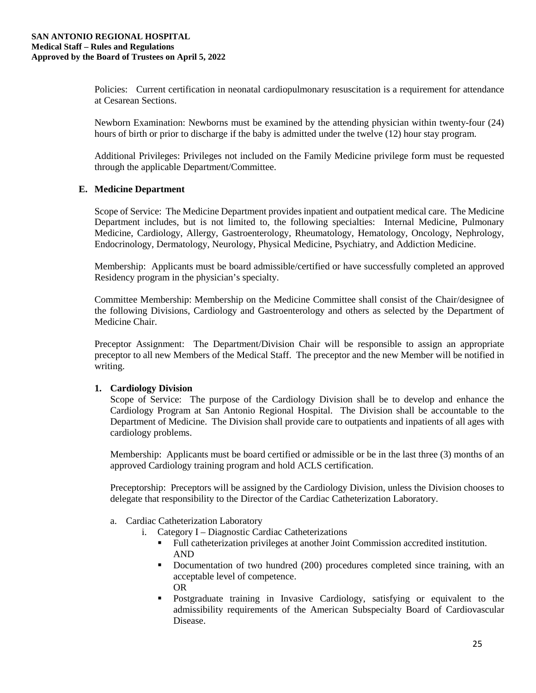Policies: Current certification in neonatal cardiopulmonary resuscitation is a requirement for attendance at Cesarean Sections.

Newborn Examination: Newborns must be examined by the attending physician within twenty-four (24) hours of birth or prior to discharge if the baby is admitted under the twelve (12) hour stay program.

Additional Privileges: Privileges not included on the Family Medicine privilege form must be requested through the applicable Department/Committee.

#### **E. Medicine Department**

Scope of Service: The Medicine Department provides inpatient and outpatient medical care. The Medicine Department includes, but is not limited to, the following specialties: Internal Medicine, Pulmonary Medicine, Cardiology, Allergy, Gastroenterology, Rheumatology, Hematology, Oncology, Nephrology, Endocrinology, Dermatology, Neurology, Physical Medicine, Psychiatry, and Addiction Medicine.

Membership: Applicants must be board admissible/certified or have successfully completed an approved Residency program in the physician's specialty.

Committee Membership: Membership on the Medicine Committee shall consist of the Chair/designee of the following Divisions, Cardiology and Gastroenterology and others as selected by the Department of Medicine Chair.

Preceptor Assignment: The Department/Division Chair will be responsible to assign an appropriate preceptor to all new Members of the Medical Staff. The preceptor and the new Member will be notified in writing.

#### **1. Cardiology Division**

Scope of Service: The purpose of the Cardiology Division shall be to develop and enhance the Cardiology Program at San Antonio Regional Hospital. The Division shall be accountable to the Department of Medicine. The Division shall provide care to outpatients and inpatients of all ages with cardiology problems.

Membership: Applicants must be board certified or admissible or be in the last three (3) months of an approved Cardiology training program and hold ACLS certification.

Preceptorship: Preceptors will be assigned by the Cardiology Division, unless the Division chooses to delegate that responsibility to the Director of the Cardiac Catheterization Laboratory.

- a. Cardiac Catheterization Laboratory
	- i. Category I Diagnostic Cardiac Catheterizations
		- Full catheterization privileges at another Joint Commission accredited institution. AND
		- Documentation of two hundred (200) procedures completed since training, with an acceptable level of competence. OR
		- Postgraduate training in Invasive Cardiology, satisfying or equivalent to the admissibility requirements of the American Subspecialty Board of Cardiovascular Disease.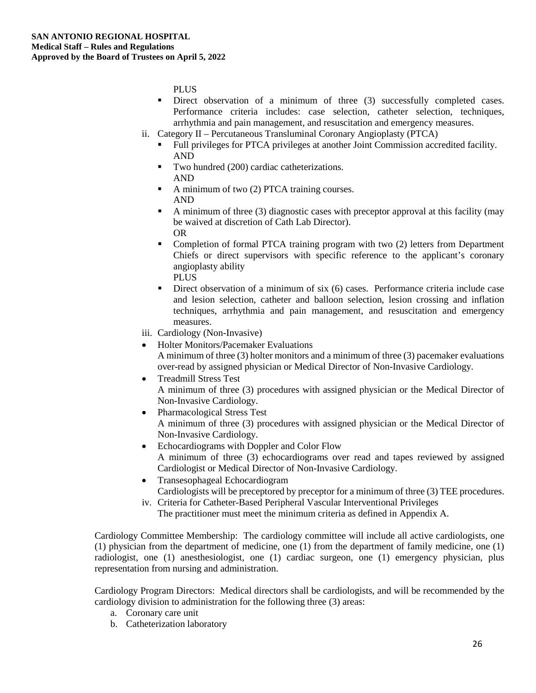PLUS

- Direct observation of a minimum of three (3) successfully completed cases. Performance criteria includes: case selection, catheter selection, techniques, arrhythmia and pain management, and resuscitation and emergency measures.
- ii. Category II Percutaneous Transluminal Coronary Angioplasty (PTCA)
	- Full privileges for PTCA privileges at another Joint Commission accredited facility. AND
	- Two hundred (200) cardiac catheterizations. AND
	- A minimum of two (2) PTCA training courses. AND
	- A minimum of three (3) diagnostic cases with preceptor approval at this facility (may be waived at discretion of Cath Lab Director). OR
	- Completion of formal PTCA training program with two (2) letters from Department Chiefs or direct supervisors with specific reference to the applicant's coronary angioplasty ability PLUS
	- Direct observation of a minimum of six (6) cases. Performance criteria include case and lesion selection, catheter and balloon selection, lesion crossing and inflation techniques, arrhythmia and pain management, and resuscitation and emergency measures.
- iii. Cardiology (Non-Invasive)
- Holter Monitors/Pacemaker Evaluations A minimum of three (3) holter monitors and a minimum of three (3) pacemaker evaluations over-read by assigned physician or Medical Director of Non-Invasive Cardiology.
- Treadmill Stress Test A minimum of three (3) procedures with assigned physician or the Medical Director of Non-Invasive Cardiology.
- Pharmacological Stress Test A minimum of three (3) procedures with assigned physician or the Medical Director of Non-Invasive Cardiology.
- Echocardiograms with Doppler and Color Flow A minimum of three (3) echocardiograms over read and tapes reviewed by assigned Cardiologist or Medical Director of Non-Invasive Cardiology.
- Transesophageal Echocardiogram Cardiologists will be preceptored by preceptor for a minimum of three (3) TEE procedures.
- iv. Criteria for Catheter-Based Peripheral Vascular Interventional Privileges The practitioner must meet the minimum criteria as defined in Appendix A.

Cardiology Committee Membership: The cardiology committee will include all active cardiologists, one (1) physician from the department of medicine, one (1) from the department of family medicine, one (1) radiologist, one (1) anesthesiologist, one (1) cardiac surgeon, one (1) emergency physician, plus representation from nursing and administration.

Cardiology Program Directors: Medical directors shall be cardiologists, and will be recommended by the cardiology division to administration for the following three (3) areas:

- a. Coronary care unit
- b. Catheterization laboratory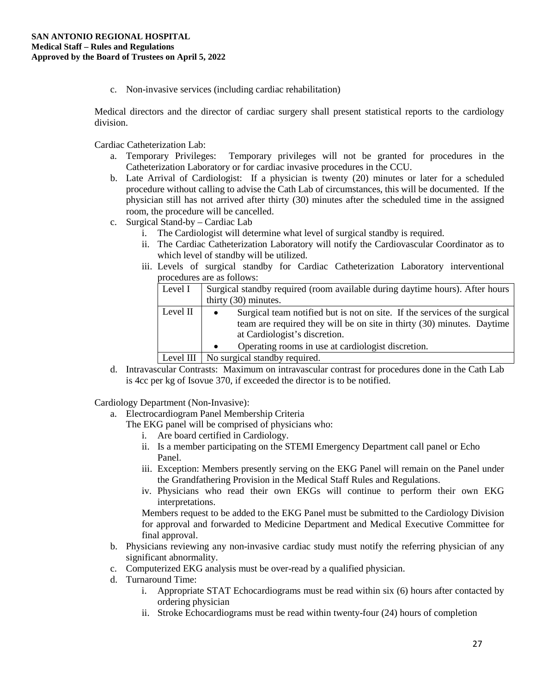c. Non-invasive services (including cardiac rehabilitation)

Medical directors and the director of cardiac surgery shall present statistical reports to the cardiology division.

Cardiac Catheterization Lab:

- a. Temporary Privileges: Temporary privileges will not be granted for procedures in the Catheterization Laboratory or for cardiac invasive procedures in the CCU.
- b. Late Arrival of Cardiologist: If a physician is twenty (20) minutes or later for a scheduled procedure without calling to advise the Cath Lab of circumstances, this will be documented. If the physician still has not arrived after thirty (30) minutes after the scheduled time in the assigned room, the procedure will be cancelled.
- c. Surgical Stand-by Cardiac Lab
	- i. The Cardiologist will determine what level of surgical standby is required.
	- ii. The Cardiac Catheterization Laboratory will notify the Cardiovascular Coordinator as to which level of standby will be utilized.
	- iii. Levels of surgical standby for Cardiac Catheterization Laboratory interventional procedures are as follows:

| Level I   | Surgical standby required (room available during daytime hours). After hours            |  |
|-----------|-----------------------------------------------------------------------------------------|--|
|           | thirty (30) minutes.                                                                    |  |
| Level II  | Surgical team notified but is not on site. If the services of the surgical<br>$\bullet$ |  |
|           | team are required they will be on site in thirty (30) minutes. Daytime                  |  |
|           | at Cardiologist's discretion.                                                           |  |
|           | Operating rooms in use at cardiologist discretion.<br>$\bullet$                         |  |
| Level III | No surgical standby required.                                                           |  |

d. Intravascular Contrasts: Maximum on intravascular contrast for procedures done in the Cath Lab is 4cc per kg of Isovue 370, if exceeded the director is to be notified.

Cardiology Department (Non-Invasive):

- a. Electrocardiogram Panel Membership Criteria
	- The EKG panel will be comprised of physicians who:
		- i. Are board certified in Cardiology.
		- ii. Is a member participating on the STEMI Emergency Department call panel or Echo Panel.
		- iii. Exception: Members presently serving on the EKG Panel will remain on the Panel under the Grandfathering Provision in the Medical Staff Rules and Regulations.
		- iv. Physicians who read their own EKGs will continue to perform their own EKG interpretations.

Members request to be added to the EKG Panel must be submitted to the Cardiology Division for approval and forwarded to Medicine Department and Medical Executive Committee for final approval.

- b. Physicians reviewing any non-invasive cardiac study must notify the referring physician of any significant abnormality.
- c. Computerized EKG analysis must be over-read by a qualified physician.
- d. Turnaround Time:
	- i. Appropriate STAT Echocardiograms must be read within six (6) hours after contacted by ordering physician
	- ii. Stroke Echocardiograms must be read within twenty-four (24) hours of completion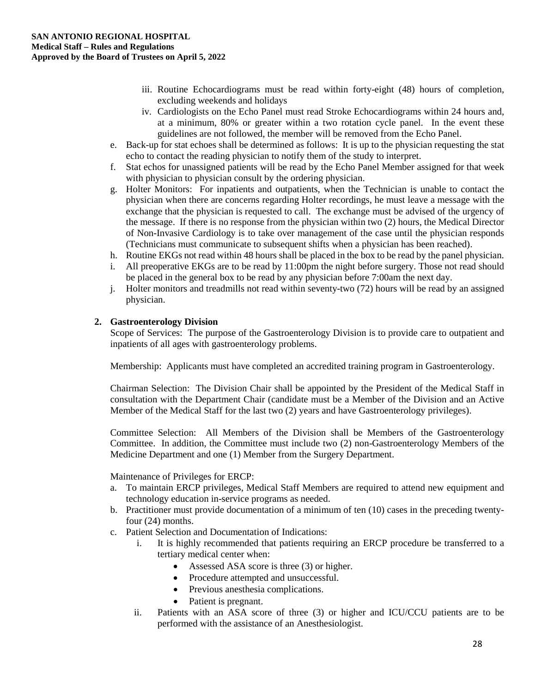- iii. Routine Echocardiograms must be read within forty-eight (48) hours of completion, excluding weekends and holidays
- iv. Cardiologists on the Echo Panel must read Stroke Echocardiograms within 24 hours and, at a minimum, 80% or greater within a two rotation cycle panel. In the event these guidelines are not followed, the member will be removed from the Echo Panel.
- e. Back-up for stat echoes shall be determined as follows: It is up to the physician requesting the stat echo to contact the reading physician to notify them of the study to interpret.
- f. Stat echos for unassigned patients will be read by the Echo Panel Member assigned for that week with physician to physician consult by the ordering physician.
- g. Holter Monitors: For inpatients and outpatients, when the Technician is unable to contact the physician when there are concerns regarding Holter recordings, he must leave a message with the exchange that the physician is requested to call. The exchange must be advised of the urgency of the message. If there is no response from the physician within two (2) hours, the Medical Director of Non-Invasive Cardiology is to take over management of the case until the physician responds (Technicians must communicate to subsequent shifts when a physician has been reached).
- h. Routine EKGs not read within 48 hours shall be placed in the box to be read by the panel physician.
- i. All preoperative EKGs are to be read by 11:00pm the night before surgery. Those not read should be placed in the general box to be read by any physician before 7:00am the next day.
- j. Holter monitors and treadmills not read within seventy-two (72) hours will be read by an assigned physician.

## **2. Gastroenterology Division**

Scope of Services: The purpose of the Gastroenterology Division is to provide care to outpatient and inpatients of all ages with gastroenterology problems.

Membership: Applicants must have completed an accredited training program in Gastroenterology.

Chairman Selection: The Division Chair shall be appointed by the President of the Medical Staff in consultation with the Department Chair (candidate must be a Member of the Division and an Active Member of the Medical Staff for the last two (2) years and have Gastroenterology privileges).

Committee Selection: All Members of the Division shall be Members of the Gastroenterology Committee. In addition, the Committee must include two (2) non-Gastroenterology Members of the Medicine Department and one (1) Member from the Surgery Department.

Maintenance of Privileges for ERCP:

- a. To maintain ERCP privileges, Medical Staff Members are required to attend new equipment and technology education in-service programs as needed.
- b. Practitioner must provide documentation of a minimum of ten (10) cases in the preceding twentyfour (24) months.
- c. Patient Selection and Documentation of Indications:
	- i. It is highly recommended that patients requiring an ERCP procedure be transferred to a tertiary medical center when:
		- Assessed ASA score is three (3) or higher.
		- Procedure attempted and unsuccessful.
		- Previous anesthesia complications.
		- Patient is pregnant.
	- ii. Patients with an ASA score of three (3) or higher and ICU/CCU patients are to be performed with the assistance of an Anesthesiologist.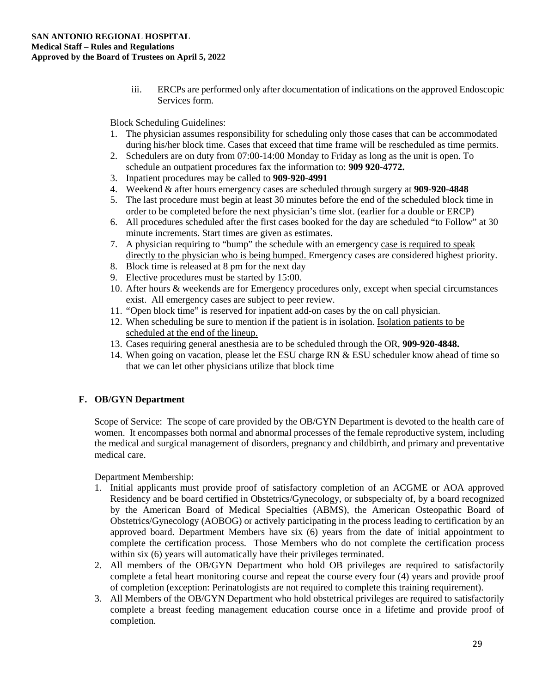iii. ERCPs are performed only after documentation of indications on the approved Endoscopic Services form.

Block Scheduling Guidelines:

- 1. The physician assumes responsibility for scheduling only those cases that can be accommodated during his/her block time. Cases that exceed that time frame will be rescheduled as time permits.
- 2. Schedulers are on duty from 07:00-14:00 Monday to Friday as long as the unit is open. To schedule an outpatient procedures fax the information to: **909 920-4772.**
- 3. Inpatient procedures may be called to **909-920-4991**
- 4. Weekend & after hours emergency cases are scheduled through surgery at **909-920-4848**
- 5. The last procedure must begin at least 30 minutes before the end of the scheduled block time in order to be completed before the next physician's time slot. (earlier for a double or ERCP)
- 6. All procedures scheduled after the first cases booked for the day are scheduled "to Follow" at 30 minute increments. Start times are given as estimates.
- 7. A physician requiring to "bump" the schedule with an emergency case is required to speak directly to the physician who is being bumped. Emergency cases are considered highest priority.
- 8. Block time is released at 8 pm for the next day
- 9. Elective procedures must be started by 15:00.
- 10. After hours & weekends are for Emergency procedures only, except when special circumstances exist. All emergency cases are subject to peer review.
- 11. "Open block time" is reserved for inpatient add-on cases by the on call physician.
- 12. When scheduling be sure to mention if the patient is in isolation. Isolation patients to be scheduled at the end of the lineup.
- 13. Cases requiring general anesthesia are to be scheduled through the OR, **909-920-4848.**
- 14. When going on vacation, please let the ESU charge RN & ESU scheduler know ahead of time so that we can let other physicians utilize that block time

## **F. OB/GYN Department**

Scope of Service: The scope of care provided by the OB/GYN Department is devoted to the health care of women. It encompasses both normal and abnormal processes of the female reproductive system, including the medical and surgical management of disorders, pregnancy and childbirth, and primary and preventative medical care.

Department Membership:

- 1. Initial applicants must provide proof of satisfactory completion of an ACGME or AOA approved Residency and be board certified in Obstetrics/Gynecology, or subspecialty of, by a board recognized by the American Board of Medical Specialties (ABMS), the American Osteopathic Board of Obstetrics/Gynecology (AOBOG) or actively participating in the process leading to certification by an approved board. Department Members have six (6) years from the date of initial appointment to complete the certification process. Those Members who do not complete the certification process within six (6) years will automatically have their privileges terminated.
- 2. All members of the OB/GYN Department who hold OB privileges are required to satisfactorily complete a fetal heart monitoring course and repeat the course every four (4) years and provide proof of completion (exception: Perinatologists are not required to complete this training requirement).
- 3. All Members of the OB/GYN Department who hold obstetrical privileges are required to satisfactorily complete a breast feeding management education course once in a lifetime and provide proof of completion.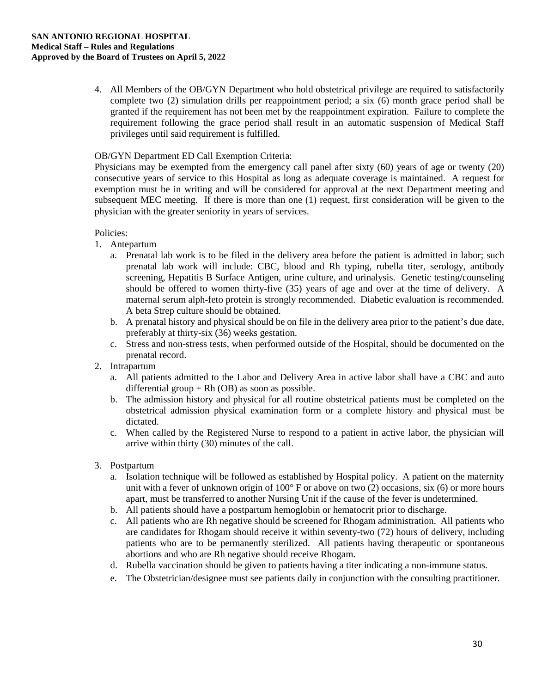4. All Members of the OB/GYN Department who hold obstetrical privilege are required to satisfactorily complete two (2) simulation drills per reappointment period; a six (6) month grace period shall be granted if the requirement has not been met by the reappointment expiration. Failure to complete the requirement following the grace period shall result in an automatic suspension of Medical Staff privileges until said requirement is fulfilled.

#### OB/GYN Department ED Call Exemption Criteria:

Physicians may be exempted from the emergency call panel after sixty (60) years of age or twenty (20) consecutive years of service to this Hospital as long as adequate coverage is maintained. A request for exemption must be in writing and will be considered for approval at the next Department meeting and subsequent MEC meeting. If there is more than one (1) request, first consideration will be given to the physician with the greater seniority in years of services.

#### Policies:

- 1. Antepartum
	- a. Prenatal lab work is to be filed in the delivery area before the patient is admitted in labor; such prenatal lab work will include: CBC, blood and Rh typing, rubella titer, serology, antibody screening, Hepatitis B Surface Antigen, urine culture, and urinalysis. Genetic testing/counseling should be offered to women thirty-five (35) years of age and over at the time of delivery. A maternal serum alph-feto protein is strongly recommended. Diabetic evaluation is recommended. A beta Strep culture should be obtained.
	- b. A prenatal history and physical should be on file in the delivery area prior to the patient's due date, preferably at thirty-six (36) weeks gestation.
	- c. Stress and non-stress tests, when performed outside of the Hospital, should be documented on the prenatal record.
- 2. Intrapartum
	- a. All patients admitted to the Labor and Delivery Area in active labor shall have a CBC and auto differential group  $+ Rh$  (OB) as soon as possible.
	- b. The admission history and physical for all routine obstetrical patients must be completed on the obstetrical admission physical examination form or a complete history and physical must be dictated.
	- c. When called by the Registered Nurse to respond to a patient in active labor, the physician will arrive within thirty (30) minutes of the call.
- 3. Postpartum
	- a. Isolation technique will be followed as established by Hospital policy. A patient on the maternity unit with a fever of unknown origin of 100° F or above on two (2) occasions, six (6) or more hours apart, must be transferred to another Nursing Unit if the cause of the fever is undetermined.
	- b. All patients should have a postpartum hemoglobin or hematocrit prior to discharge.
	- c. All patients who are Rh negative should be screened for Rhogam administration. All patients who are candidates for Rhogam should receive it within seventy-two (72) hours of delivery, including patients who are to be permanently sterilized. All patients having therapeutic or spontaneous abortions and who are Rh negative should receive Rhogam.
	- d. Rubella vaccination should be given to patients having a titer indicating a non-immune status.
	- e. The Obstetrician/designee must see patients daily in conjunction with the consulting practitioner.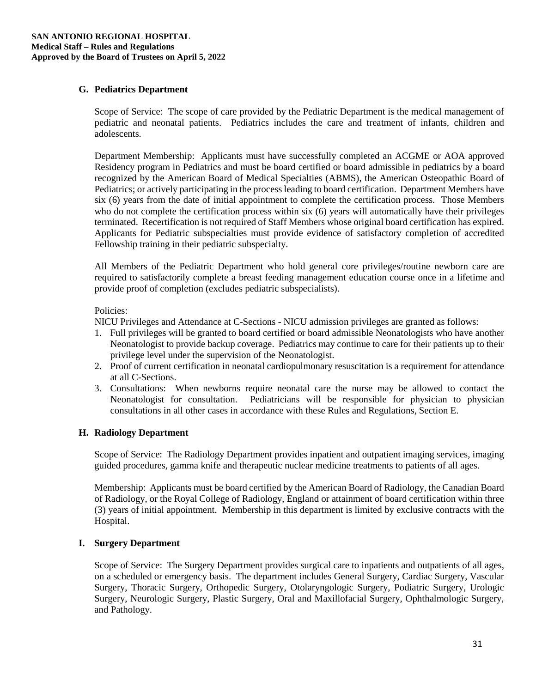#### **G. Pediatrics Department**

Scope of Service: The scope of care provided by the Pediatric Department is the medical management of pediatric and neonatal patients. Pediatrics includes the care and treatment of infants, children and adolescents.

Department Membership: Applicants must have successfully completed an ACGME or AOA approved Residency program in Pediatrics and must be board certified or board admissible in pediatrics by a board recognized by the American Board of Medical Specialties (ABMS), the American Osteopathic Board of Pediatrics; or actively participating in the process leading to board certification. Department Members have six (6) years from the date of initial appointment to complete the certification process. Those Members who do not complete the certification process within six (6) years will automatically have their privileges terminated. Recertification is not required of Staff Members whose original board certification has expired. Applicants for Pediatric subspecialties must provide evidence of satisfactory completion of accredited Fellowship training in their pediatric subspecialty.

All Members of the Pediatric Department who hold general core privileges/routine newborn care are required to satisfactorily complete a breast feeding management education course once in a lifetime and provide proof of completion (excludes pediatric subspecialists).

#### Policies:

NICU Privileges and Attendance at C-Sections - NICU admission privileges are granted as follows:

- 1. Full privileges will be granted to board certified or board admissible Neonatologists who have another Neonatologist to provide backup coverage. Pediatrics may continue to care for their patients up to their privilege level under the supervision of the Neonatologist.
- 2. Proof of current certification in neonatal cardiopulmonary resuscitation is a requirement for attendance at all C-Sections.
- 3. Consultations: When newborns require neonatal care the nurse may be allowed to contact the Neonatologist for consultation. Pediatricians will be responsible for physician to physician consultations in all other cases in accordance with these Rules and Regulations, Section E.

#### **H. Radiology Department**

Scope of Service: The Radiology Department provides inpatient and outpatient imaging services, imaging guided procedures, gamma knife and therapeutic nuclear medicine treatments to patients of all ages.

Membership: Applicants must be board certified by the American Board of Radiology, the Canadian Board of Radiology, or the Royal College of Radiology, England or attainment of board certification within three (3) years of initial appointment. Membership in this department is limited by exclusive contracts with the Hospital.

#### **I. Surgery Department**

Scope of Service: The Surgery Department provides surgical care to inpatients and outpatients of all ages, on a scheduled or emergency basis. The department includes General Surgery, Cardiac Surgery, Vascular Surgery, Thoracic Surgery, Orthopedic Surgery, Otolaryngologic Surgery, Podiatric Surgery, Urologic Surgery, Neurologic Surgery, Plastic Surgery, Oral and Maxillofacial Surgery, Ophthalmologic Surgery, and Pathology.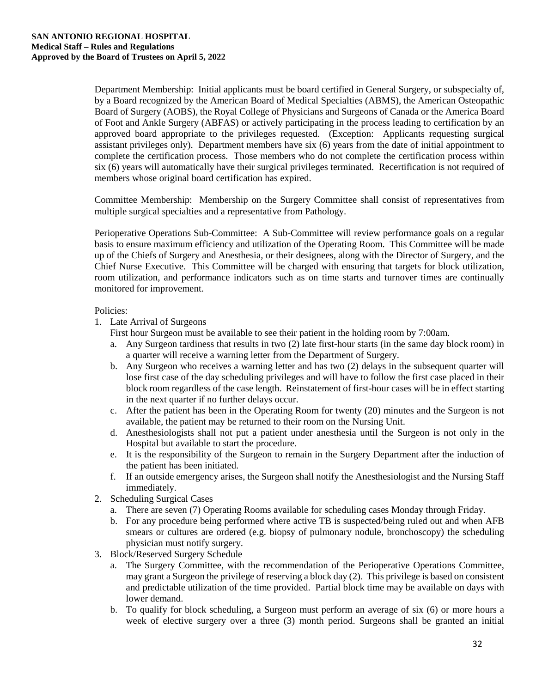Department Membership: Initial applicants must be board certified in General Surgery, or subspecialty of, by a Board recognized by the American Board of Medical Specialties (ABMS), the American Osteopathic Board of Surgery (AOBS), the Royal College of Physicians and Surgeons of Canada or the America Board of Foot and Ankle Surgery (ABFAS) or actively participating in the process leading to certification by an approved board appropriate to the privileges requested. (Exception: Applicants requesting surgical assistant privileges only). Department members have six (6) years from the date of initial appointment to complete the certification process. Those members who do not complete the certification process within six (6) years will automatically have their surgical privileges terminated. Recertification is not required of members whose original board certification has expired.

Committee Membership: Membership on the Surgery Committee shall consist of representatives from multiple surgical specialties and a representative from Pathology.

Perioperative Operations Sub-Committee: A Sub-Committee will review performance goals on a regular basis to ensure maximum efficiency and utilization of the Operating Room. This Committee will be made up of the Chiefs of Surgery and Anesthesia, or their designees, along with the Director of Surgery, and the Chief Nurse Executive. This Committee will be charged with ensuring that targets for block utilization, room utilization, and performance indicators such as on time starts and turnover times are continually monitored for improvement.

#### Policies:

1. Late Arrival of Surgeons

First hour Surgeon must be available to see their patient in the holding room by 7:00am.

- a. Any Surgeon tardiness that results in two (2) late first-hour starts (in the same day block room) in a quarter will receive a warning letter from the Department of Surgery.
- b. Any Surgeon who receives a warning letter and has two (2) delays in the subsequent quarter will lose first case of the day scheduling privileges and will have to follow the first case placed in their block room regardless of the case length. Reinstatement of first-hour cases will be in effect starting in the next quarter if no further delays occur.
- c. After the patient has been in the Operating Room for twenty (20) minutes and the Surgeon is not available, the patient may be returned to their room on the Nursing Unit.
- d. Anesthesiologists shall not put a patient under anesthesia until the Surgeon is not only in the Hospital but available to start the procedure.
- e. It is the responsibility of the Surgeon to remain in the Surgery Department after the induction of the patient has been initiated.
- f. If an outside emergency arises, the Surgeon shall notify the Anesthesiologist and the Nursing Staff immediately.
- 2. Scheduling Surgical Cases
	- a. There are seven (7) Operating Rooms available for scheduling cases Monday through Friday.
	- b. For any procedure being performed where active TB is suspected/being ruled out and when AFB smears or cultures are ordered (e.g. biopsy of pulmonary nodule, bronchoscopy) the scheduling physician must notify surgery.
- 3. Block/Reserved Surgery Schedule
	- a. The Surgery Committee, with the recommendation of the Perioperative Operations Committee, may grant a Surgeon the privilege of reserving a block day (2). This privilege is based on consistent and predictable utilization of the time provided. Partial block time may be available on days with lower demand.
	- b. To qualify for block scheduling, a Surgeon must perform an average of six (6) or more hours a week of elective surgery over a three (3) month period. Surgeons shall be granted an initial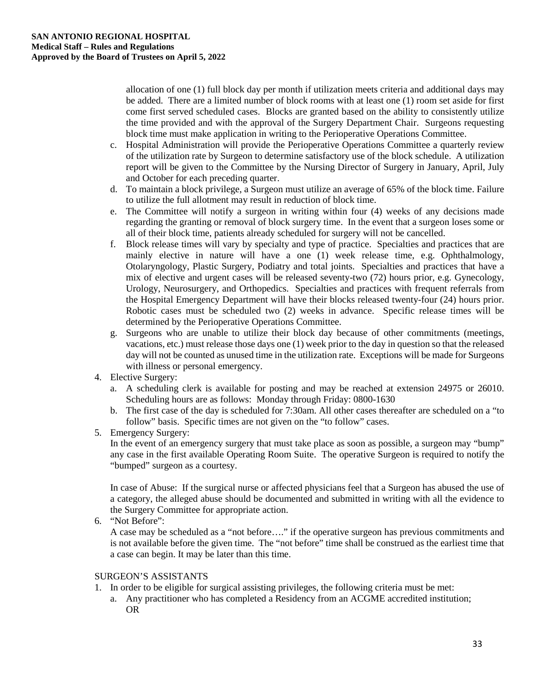allocation of one (1) full block day per month if utilization meets criteria and additional days may be added. There are a limited number of block rooms with at least one (1) room set aside for first come first served scheduled cases. Blocks are granted based on the ability to consistently utilize the time provided and with the approval of the Surgery Department Chair. Surgeons requesting block time must make application in writing to the Perioperative Operations Committee.

- c. Hospital Administration will provide the Perioperative Operations Committee a quarterly review of the utilization rate by Surgeon to determine satisfactory use of the block schedule. A utilization report will be given to the Committee by the Nursing Director of Surgery in January, April, July and October for each preceding quarter.
- d. To maintain a block privilege, a Surgeon must utilize an average of 65% of the block time. Failure to utilize the full allotment may result in reduction of block time.
- e. The Committee will notify a surgeon in writing within four (4) weeks of any decisions made regarding the granting or removal of block surgery time. In the event that a surgeon loses some or all of their block time, patients already scheduled for surgery will not be cancelled.
- f. Block release times will vary by specialty and type of practice. Specialties and practices that are mainly elective in nature will have a one (1) week release time, e.g. Ophthalmology, Otolaryngology, Plastic Surgery, Podiatry and total joints. Specialties and practices that have a mix of elective and urgent cases will be released seventy-two (72) hours prior, e.g. Gynecology, Urology, Neurosurgery, and Orthopedics. Specialties and practices with frequent referrals from the Hospital Emergency Department will have their blocks released twenty-four (24) hours prior. Robotic cases must be scheduled two (2) weeks in advance. Specific release times will be determined by the Perioperative Operations Committee.
- g. Surgeons who are unable to utilize their block day because of other commitments (meetings, vacations, etc.) must release those days one (1) week prior to the day in question so that the released day will not be counted as unused time in the utilization rate. Exceptions will be made for Surgeons with illness or personal emergency.
- 4. Elective Surgery:
	- a. A scheduling clerk is available for posting and may be reached at extension 24975 or 26010. Scheduling hours are as follows: Monday through Friday: 0800-1630
	- b. The first case of the day is scheduled for 7:30am. All other cases thereafter are scheduled on a "to follow" basis. Specific times are not given on the "to follow" cases.
- 5. Emergency Surgery:

In the event of an emergency surgery that must take place as soon as possible, a surgeon may "bump" any case in the first available Operating Room Suite. The operative Surgeon is required to notify the "bumped" surgeon as a courtesy.

In case of Abuse: If the surgical nurse or affected physicians feel that a Surgeon has abused the use of a category, the alleged abuse should be documented and submitted in writing with all the evidence to the Surgery Committee for appropriate action.

6. "Not Before":

A case may be scheduled as a "not before…." if the operative surgeon has previous commitments and is not available before the given time. The "not before" time shall be construed as the earliest time that a case can begin. It may be later than this time.

#### SURGEON'S ASSISTANTS

- 1. In order to be eligible for surgical assisting privileges, the following criteria must be met:
	- a. Any practitioner who has completed a Residency from an ACGME accredited institution; OR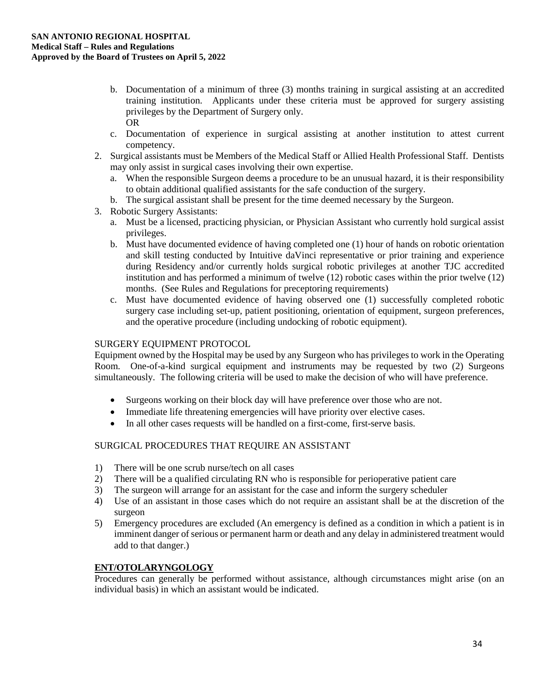- b. Documentation of a minimum of three (3) months training in surgical assisting at an accredited training institution. Applicants under these criteria must be approved for surgery assisting privileges by the Department of Surgery only. OR
- c. Documentation of experience in surgical assisting at another institution to attest current competency.
- 2. Surgical assistants must be Members of the Medical Staff or Allied Health Professional Staff. Dentists may only assist in surgical cases involving their own expertise.
	- a. When the responsible Surgeon deems a procedure to be an unusual hazard, it is their responsibility to obtain additional qualified assistants for the safe conduction of the surgery.
	- b. The surgical assistant shall be present for the time deemed necessary by the Surgeon.
- 3. Robotic Surgery Assistants:
	- a. Must be a licensed, practicing physician, or Physician Assistant who currently hold surgical assist privileges.
	- b. Must have documented evidence of having completed one (1) hour of hands on robotic orientation and skill testing conducted by Intuitive daVinci representative or prior training and experience during Residency and/or currently holds surgical robotic privileges at another TJC accredited institution and has performed a minimum of twelve (12) robotic cases within the prior twelve (12) months. (See Rules and Regulations for preceptoring requirements)
	- c. Must have documented evidence of having observed one (1) successfully completed robotic surgery case including set-up, patient positioning, orientation of equipment, surgeon preferences, and the operative procedure (including undocking of robotic equipment).

#### SURGERY EQUIPMENT PROTOCOL

Equipment owned by the Hospital may be used by any Surgeon who has privileges to work in the Operating Room. One-of-a-kind surgical equipment and instruments may be requested by two (2) Surgeons simultaneously. The following criteria will be used to make the decision of who will have preference.

- Surgeons working on their block day will have preference over those who are not.
- Immediate life threatening emergencies will have priority over elective cases.
- In all other cases requests will be handled on a first-come, first-serve basis.

## SURGICAL PROCEDURES THAT REQUIRE AN ASSISTANT

- 1) There will be one scrub nurse/tech on all cases
- 2) There will be a qualified circulating RN who is responsible for perioperative patient care
- 3) The surgeon will arrange for an assistant for the case and inform the surgery scheduler
- 4) Use of an assistant in those cases which do not require an assistant shall be at the discretion of the surgeon
- 5) Emergency procedures are excluded (An emergency is defined as a condition in which a patient is in imminent danger of serious or permanent harm or death and any delay in administered treatment would add to that danger.)

#### **ENT/OTOLARYNGOLOGY**

Procedures can generally be performed without assistance, although circumstances might arise (on an individual basis) in which an assistant would be indicated.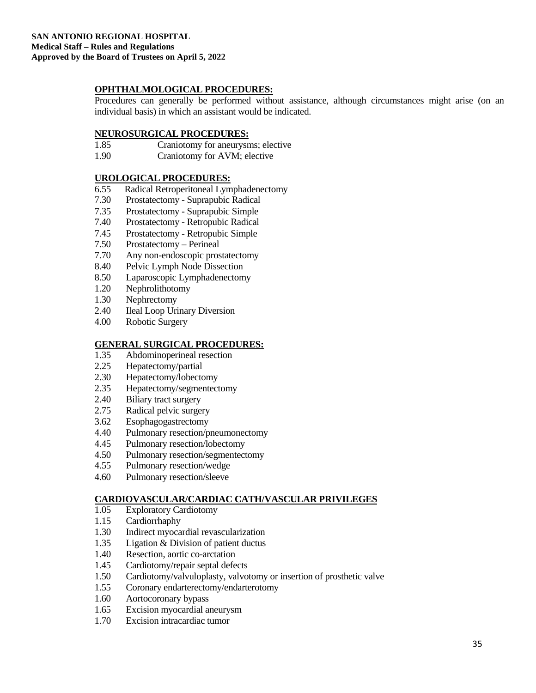### **OPHTHALMOLOGICAL PROCEDURES:**

Procedures can generally be performed without assistance, although circumstances might arise (on an individual basis) in which an assistant would be indicated.

## **NEUROSURGICAL PROCEDURES:**<br>1.85 Craniotomy for aneurysn

- Craniotomy for aneurysms; elective
- 1.90 Craniotomy for AVM; elective

#### **UROLOGICAL PROCEDURES:**

- 6.55 Radical Retroperitoneal Lymphadenectomy
- 7.30 Prostatectomy Suprapubic Radical
- 7.35 Prostatectomy Suprapubic Simple
- 7.40 Prostatectomy Retropubic Radical
- 7.45 Prostatectomy Retropubic Simple
- 7.50 Prostatectomy Perineal
- 7.70 Any non-endoscopic prostatectomy
- 8.40 Pelvic Lymph Node Dissection
- 8.50 Laparoscopic Lymphadenectomy
- 1.20 Nephrolithotomy<br>1.30 Nephrectomy
- Nephrectomy
- 2.40 Ileal Loop Urinary Diversion
- 4.00 Robotic Surgery

#### **GENERAL SURGICAL PROCEDURES:**

- 1.35 Abdominoperineal resection
- 2.25 Hepatectomy/partial
- 2.30 Hepatectomy/lobectomy<br>2.35 Hepatectomy/segmentect
- Hepatectomy/segmentectomy
- 2.40 Biliary tract surgery
- 2.75 Radical pelvic surgery
- 3.62 Esophagogastrectomy
- 4.40 Pulmonary resection/pneumonectomy
- 4.45 Pulmonary resection/lobectomy
- 4.50 Pulmonary resection/segmentectomy
- 4.55 Pulmonary resection/wedge
- 4.60 Pulmonary resection/sleeve

#### **CARDIOVASCULAR/CARDIAC CATH/VASCULAR PRIVILEGES**

- 1.05 Exploratory Cardiotomy
- 1.15 Cardiorrhaphy
- 1.30 Indirect myocardial revascularization
- 1.35 Ligation & Division of patient ductus
- 1.40 Resection, aortic co-arctation
- 1.45 Cardiotomy/repair septal defects
- 1.50 Cardiotomy/valvuloplasty, valvotomy or insertion of prosthetic valve
- 1.55 Coronary endarterectomy/endarterotomy
- 1.60 Aortocoronary bypass
- 1.65 Excision myocardial aneurysm
- 1.70 Excision intracardiac tumor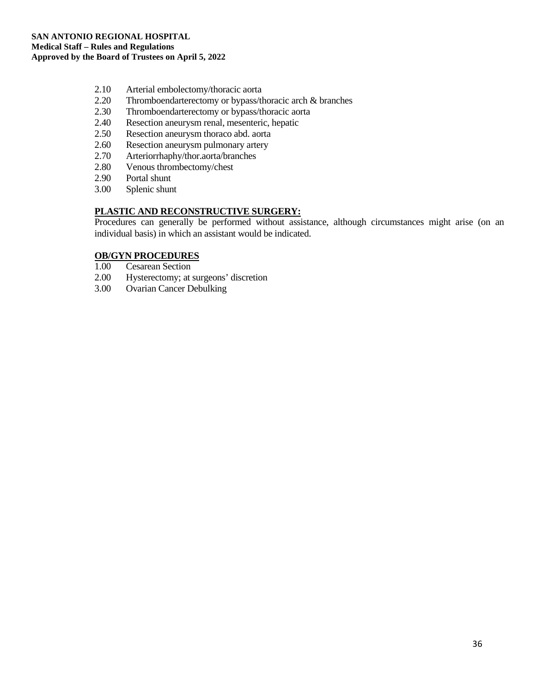- 2.10 Arterial embolectomy/thoracic aorta
- 2.20 Thromboendarterectomy or bypass/thoracic arch & branches
- 2.30 Thromboendarterectomy or bypass/thoracic aorta
- 2.40 Resection aneurysm renal, mesenteric, hepatic
- 2.50 Resection aneurysm thoraco abd. aorta<br>2.60 Resection aneurysm pulmonary artery
- Resection aneurysm pulmonary artery
- 2.70 Arteriorrhaphy/thor.aorta/branches<br>2.80 Venous thrombectomy/chest
- Venous thrombectomy/chest
- 2.90 Portal shunt<br>3.00 Splenic shun
- Splenic shunt

#### **PLASTIC AND RECONSTRUCTIVE SURGERY:**

Procedures can generally be performed without assistance, although circumstances might arise (on an individual basis) in which an assistant would be indicated.

### **OB/GYN PROCEDURES**

- 1.00 Cesarean Section<br>2.00 Hysterectomy: at
- 2.00 Hysterectomy; at surgeons' discretion<br>3.00 Ovarian Cancer Debulking
- Ovarian Cancer Debulking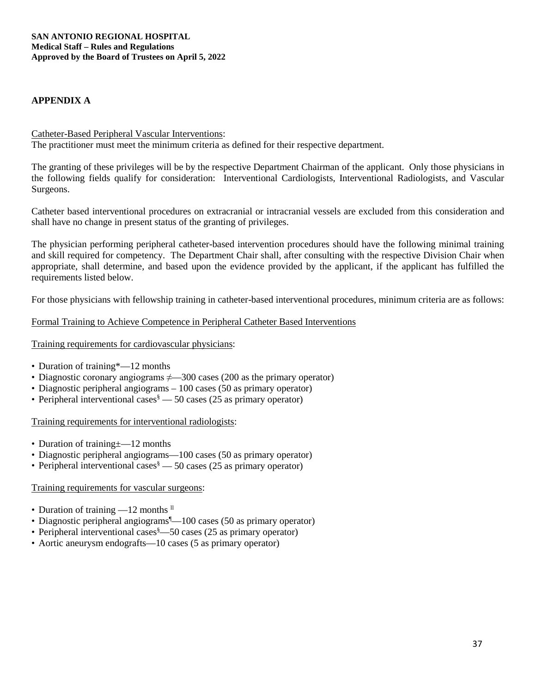#### **APPENDIX A**

#### Catheter-Based Peripheral Vascular Interventions:

The practitioner must meet the minimum criteria as defined for their respective department.

The granting of these privileges will be by the respective Department Chairman of the applicant. Only those physicians in the following fields qualify for consideration: Interventional Cardiologists, Interventional Radiologists, and Vascular Surgeons.

Catheter based interventional procedures on extracranial or intracranial vessels are excluded from this consideration and shall have no change in present status of the granting of privileges.

The physician performing peripheral catheter-based intervention procedures should have the following minimal training and skill required for competency. The Department Chair shall, after consulting with the respective Division Chair when appropriate, shall determine, and based upon the evidence provided by the applicant, if the applicant has fulfilled the requirements listed below.

For those physicians with fellowship training in catheter-based interventional procedures, minimum criteria are as follows:

#### Formal Training to Achieve Competence in Peripheral Catheter Based Interventions

#### Training requirements for cardiovascular physicians:

- Duration of training\*—12 months
- Diagnostic coronary angiograms  $\neq$  300 cases (200 as the primary operator)
- Diagnostic peripheral angiograms 100 cases (50 as primary operator)
- Peripheral interventional cases  $\delta$  50 cases (25 as primary operator)

#### Training requirements for interventional radiologists:

- Duration of training  $\pm$  -12 months
- Diagnostic peripheral angiograms—100 cases (50 as primary operator)
- Peripheral interventional cases  $\delta$  50 cases (25 as primary operator)

#### Training requirements for vascular surgeons:

- Duration of training  $-12$  months  $\mathbb{I}$
- Diagnostic peripheral angiograms<sup>1</sup>—100 cases (50 as primary operator)
- Peripheral interventional cases<sup>§</sup>—50 cases (25 as primary operator)
- Aortic aneurysm endografts—10 cases (5 as primary operator)